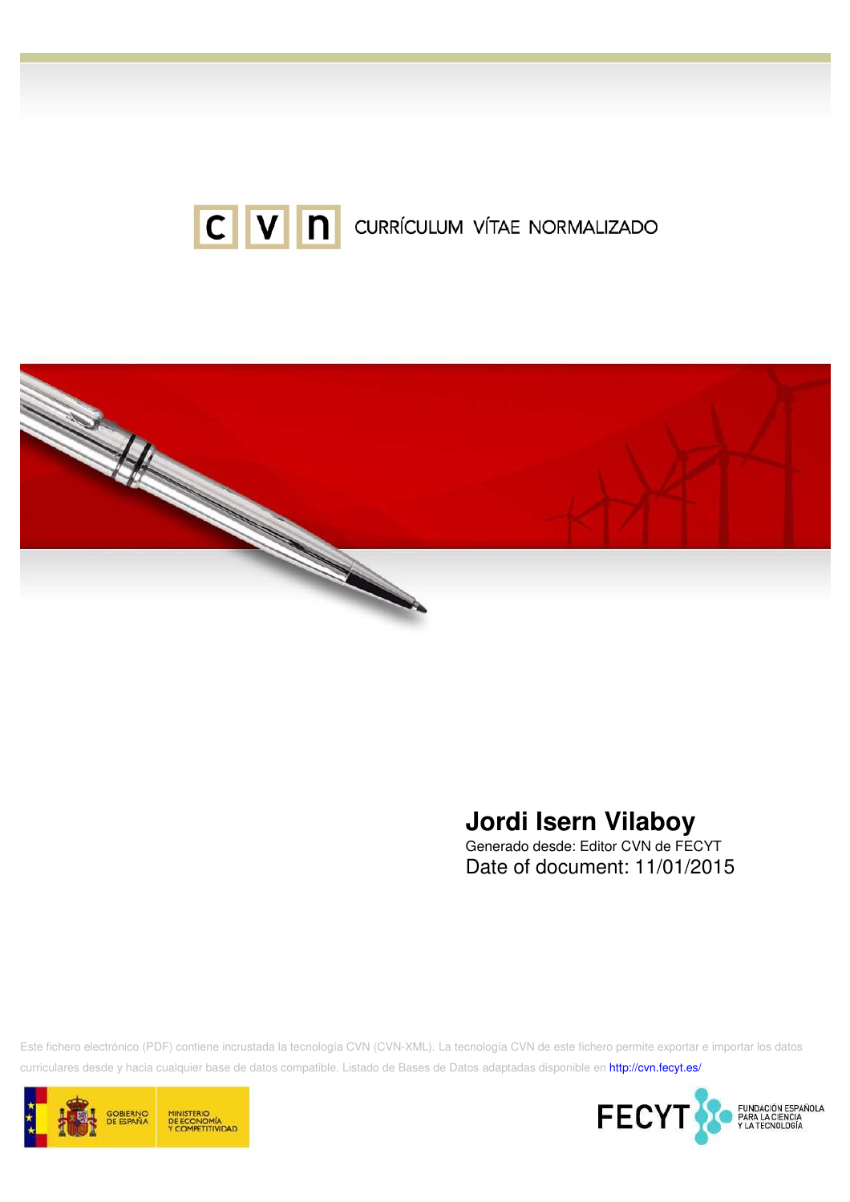



# **Jordi Isern Vilaboy**

Generado desde: Editor CVN de FECYT Date of document: 11/01/2015

Este fichero electrónico (PDF) contiene incrustada la tecnología CVN (CVN-XML). La tecnología CVN de este fichero permite exportar e importar los datos curriculares desde y hacia cualquier base de datos compatible. Listado de Bases de Datos adaptadas disponible en http://cvn.fecyt.es/



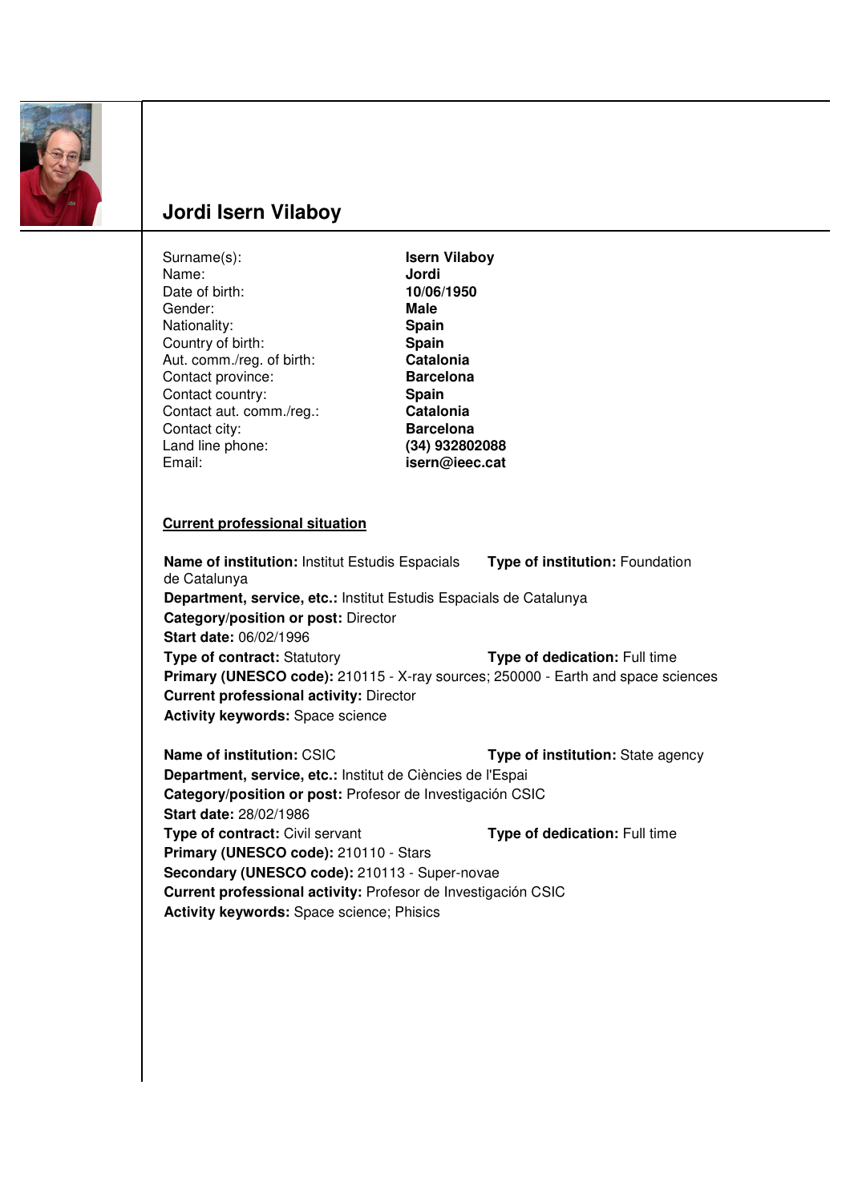

# **Jordi Isern Vilaboy**

| Surname(s):                                                        | <b>Isern Vilaboy</b>                                                             |
|--------------------------------------------------------------------|----------------------------------------------------------------------------------|
| Name:                                                              | Jordi                                                                            |
| Date of birth:                                                     | 10/06/1950                                                                       |
| Gender:                                                            | <b>Male</b>                                                                      |
| Nationality:                                                       | Spain                                                                            |
| Country of birth:                                                  | Spain                                                                            |
| Aut. comm./reg. of birth:                                          | Catalonia                                                                        |
| Contact province:                                                  | <b>Barcelona</b>                                                                 |
| Contact country:                                                   | Spain                                                                            |
| Contact aut. comm./reg.:                                           | Catalonia                                                                        |
| Contact city:                                                      | <b>Barcelona</b>                                                                 |
| Land line phone:                                                   | (34) 932802088                                                                   |
| Email:                                                             | isern@ieec.cat                                                                   |
| <b>Current professional situation</b>                              |                                                                                  |
| Name of institution: Institut Estudis Espacials                    | Type of institution: Foundation                                                  |
| de Catalunya                                                       |                                                                                  |
| Department, service, etc.: Institut Estudis Espacials de Catalunya |                                                                                  |
| Category/position or post: Director                                |                                                                                  |
| Start date: 06/02/1996                                             |                                                                                  |
| <b>Type of contract: Statutory</b>                                 | Type of dedication: Full time                                                    |
|                                                                    | Primary (UNESCO code): 210115 - X-ray sources; 250000 - Earth and space sciences |
| <b>Current professional activity: Director</b>                     |                                                                                  |
|                                                                    |                                                                                  |
| <b>Activity keywords: Space science</b>                            |                                                                                  |
| Name of institution: CSIC                                          | Type of institution: State agency                                                |
| Department, service, etc.: Institut de Ciències de l'Espai         |                                                                                  |
| Category/position or post: Profesor de Investigación CSIC          |                                                                                  |
| <b>Start date: 28/02/1986</b>                                      |                                                                                  |
| Type of contract: Civil servant                                    | Type of dedication: Full time                                                    |
| Primary (UNESCO code): 210110 - Stars                              |                                                                                  |
| Secondary (UNESCO code): 210113 - Super-novae                      |                                                                                  |
| Current professional activity: Profesor de Investigación CSIC      |                                                                                  |
| Activity keywords: Space science; Phisics                          |                                                                                  |
|                                                                    |                                                                                  |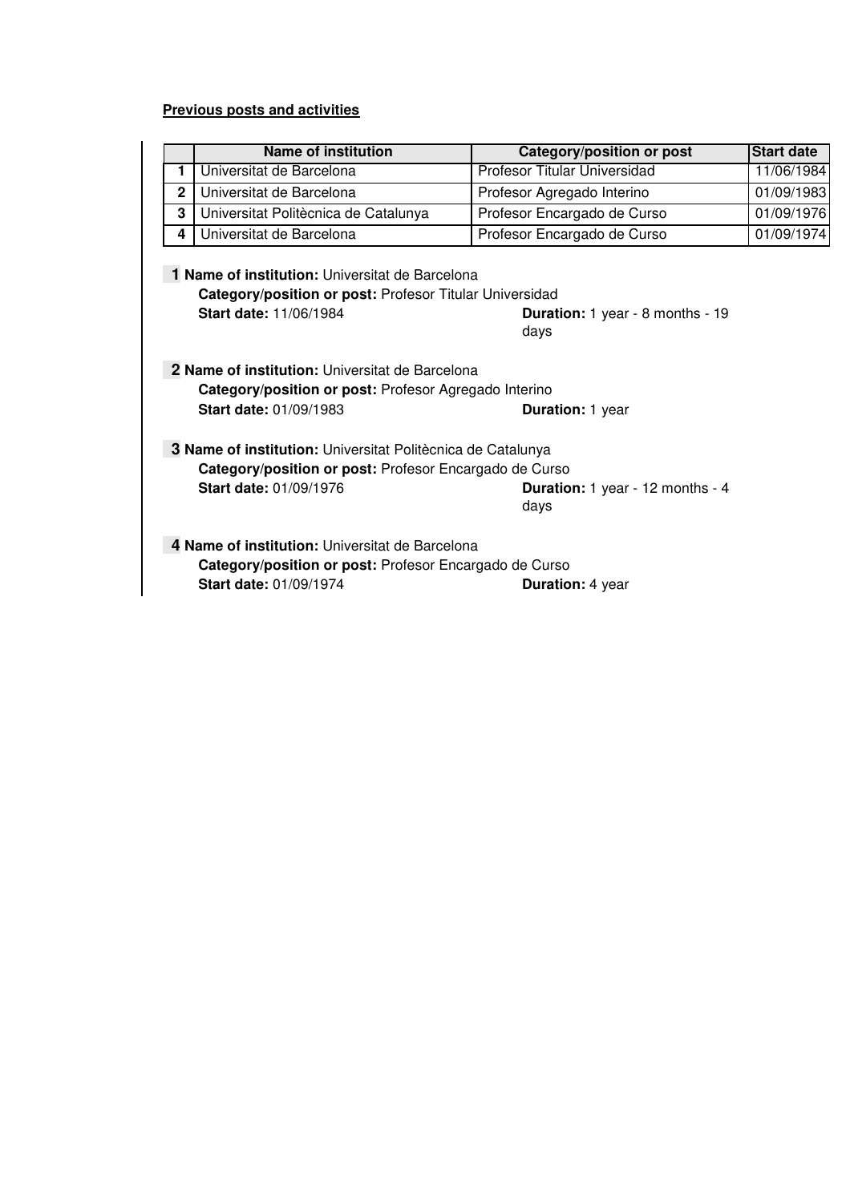## **Previous posts and activities**

|                                                                                                                                                                |                                                                                                                                                                                                    | <b>Name of institution</b>           | Category/position or post    | <b>Start date</b> |  |
|----------------------------------------------------------------------------------------------------------------------------------------------------------------|----------------------------------------------------------------------------------------------------------------------------------------------------------------------------------------------------|--------------------------------------|------------------------------|-------------------|--|
|                                                                                                                                                                | 1                                                                                                                                                                                                  | Universitat de Barcelona             | Profesor Titular Universidad | 11/06/1984        |  |
|                                                                                                                                                                | $\mathbf{2}$                                                                                                                                                                                       | Universitat de Barcelona             | Profesor Agregado Interino   | 01/09/1983        |  |
|                                                                                                                                                                | 3                                                                                                                                                                                                  | Universitat Politècnica de Catalunya | Profesor Encargado de Curso  | 01/09/1976        |  |
|                                                                                                                                                                | 4                                                                                                                                                                                                  | Universitat de Barcelona             | Profesor Encargado de Curso  | 01/09/1974        |  |
|                                                                                                                                                                | 1 Name of institution: Universitat de Barcelona<br>Category/position or post: Profesor Titular Universidad<br>Start date: 11/06/1984<br>Duration: 1 year - 8 months - 19<br>days                   |                                      |                              |                   |  |
| 2 Name of institution: Universitat de Barcelona<br>Category/position or post: Profesor Agregado Interino<br><b>Start date: 01/09/1983</b><br>Duration: 1 year  |                                                                                                                                                                                                    |                                      |                              |                   |  |
|                                                                                                                                                                | 3 Name of institution: Universitat Politècnica de Catalunya<br>Category/position or post: Profesor Encargado de Curso<br>Start date: 01/09/1976<br><b>Duration:</b> 1 year - 12 months - 4<br>days |                                      |                              |                   |  |
| 4 Name of institution: Universitat de Barcelona<br>Category/position or post: Profesor Encargado de Curso<br><b>Start date: 01/09/1974</b><br>Duration: 4 year |                                                                                                                                                                                                    |                                      |                              |                   |  |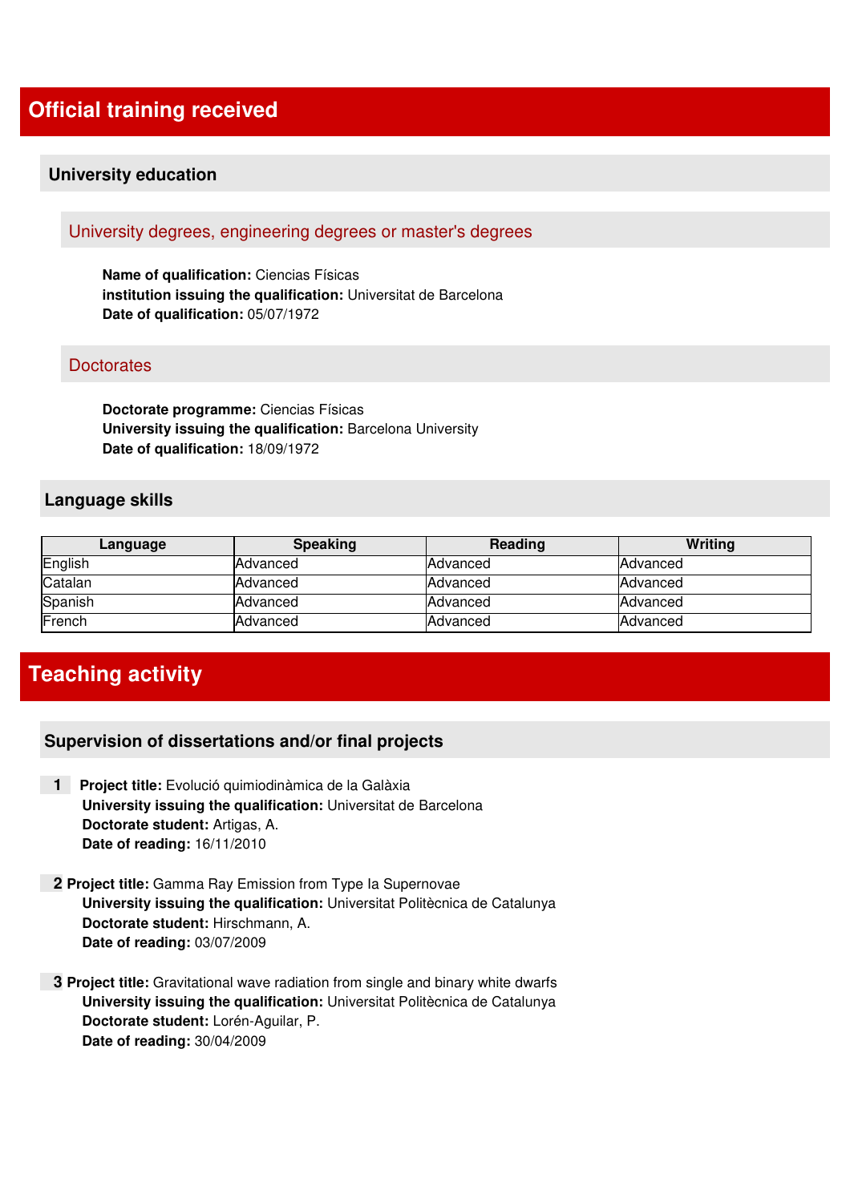## **Official training received**

## **University education**

## University degrees, engineering degrees or master's degrees

**Name of qualification:** Ciencias Físicas **institution issuing the qualification:** Universitat de Barcelona **Date of qualification:** 05/07/1972

#### **Doctorates**

**Doctorate programme:** Ciencias Físicas **University issuing the qualification:** Barcelona University **Date of qualification:** 18/09/1972

#### **Language skills**

| Language | <b>Speaking</b> | Reading         | Writing  |
|----------|-----------------|-----------------|----------|
| English  | Advanced        | Advanced        | Advanced |
| Catalan  | Advanced        | Advanced        | Advanced |
| Spanish  | Advanced        | Advanced        | Advanced |
| French   | Advanced        | <b>Advanced</b> | Advanced |

## **Teaching activity**

## **Supervision of dissertations and/or final projects**

- **1 Project title:** Evolució quimiodinàmica de la Galàxia **University issuing the qualification:** Universitat de Barcelona **Doctorate student:** Artigas, A. **Date of reading:** 16/11/2010
- **2 Project title:** Gamma Ray Emission from Type Ia Supernovae **University issuing the qualification:** Universitat Politècnica de Catalunya **Doctorate student:** Hirschmann, A. **Date of reading:** 03/07/2009
- **3 Project title:** Gravitational wave radiation from single and binary white dwarfs **University issuing the qualification:** Universitat Politècnica de Catalunya **Doctorate student:** Lorén-Aguilar, P. **Date of reading:** 30/04/2009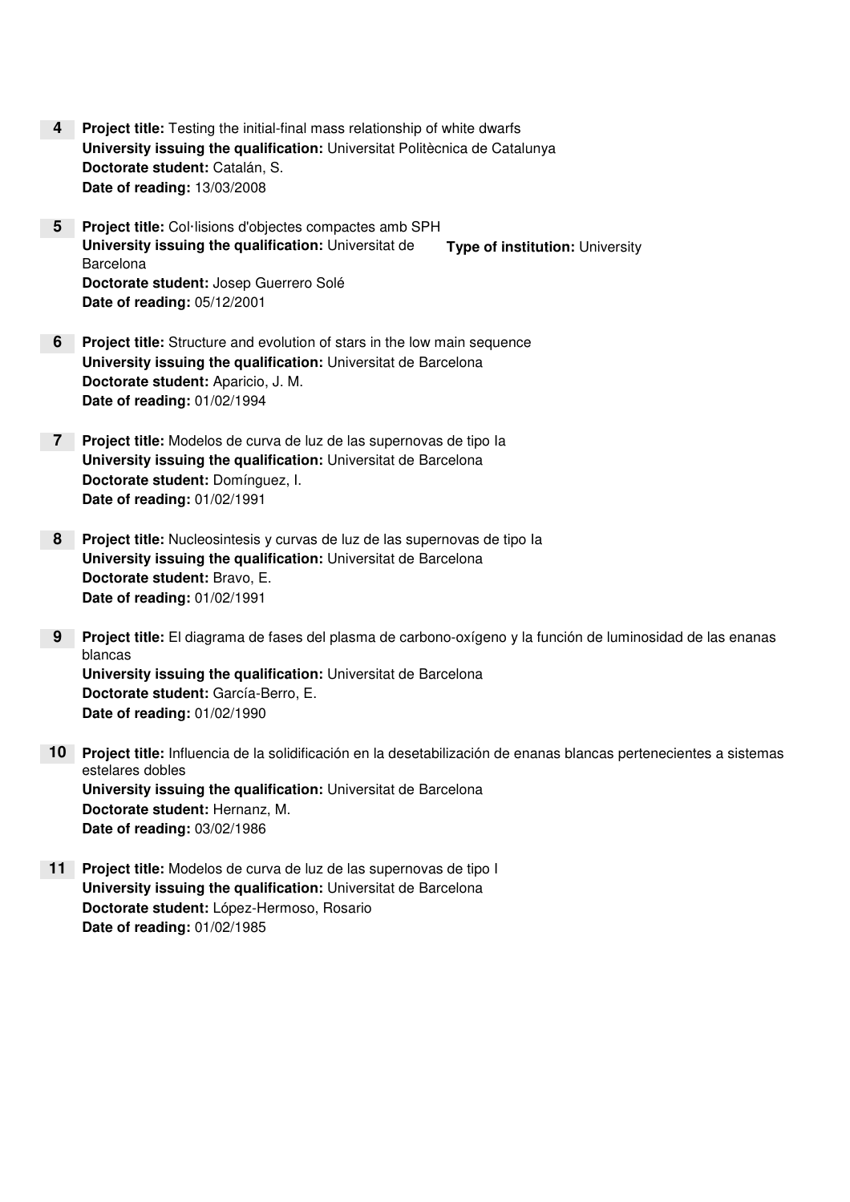- **Project title:** Testing the initial-final mass relationship of white dwarfs **4University issuing the qualification:** Universitat Politècnica de Catalunya **Doctorate student:** Catalán, S. **Date of reading:** 13/03/2008
- **Project title:** Col·lisions d'objectes compactes amb SPH **5 University issuing the qualification:** Universitat de **Barcelona Doctorate student:** Josep Guerrero Solé **Date of reading:** 05/12/2001 **Type of institution:** University
- **Project title:** Structure and evolution of stars in the low main sequence **6 University issuing the qualification:** Universitat de Barcelona **Doctorate student:** Aparicio, J. M. **Date of reading:** 01/02/1994
- **Project title:** Modelos de curva de luz de las supernovas de tipo Ia **7 University issuing the qualification:** Universitat de Barcelona **Doctorate student:** Domínguez, I. **Date of reading:** 01/02/1991
- **Project title:** Nucleosintesis y curvas de luz de las supernovas de tipo Ia **8 University issuing the qualification:** Universitat de Barcelona **Doctorate student:** Bravo, E. **Date of reading:** 01/02/1991
- **Project title:** El diagrama de fases del plasma de carbono-oxígeno y la función de luminosidad de las enanas **9** blancas **University issuing the qualification:** Universitat de Barcelona **Doctorate student:** García-Berro, E. **Date of reading:** 01/02/1990
- **Project title:** Influencia de la solidificación en la desetabilización de enanas blancas pertenecientes a sistemas **10** estelares dobles **University issuing the qualification:** Universitat de Barcelona **Doctorate student:** Hernanz, M. **Date of reading:** 03/02/1986
- **Project title:** Modelos de curva de luz de las supernovas de tipo I **11 University issuing the qualification:** Universitat de Barcelona **Doctorate student:** López-Hermoso, Rosario **Date of reading:** 01/02/1985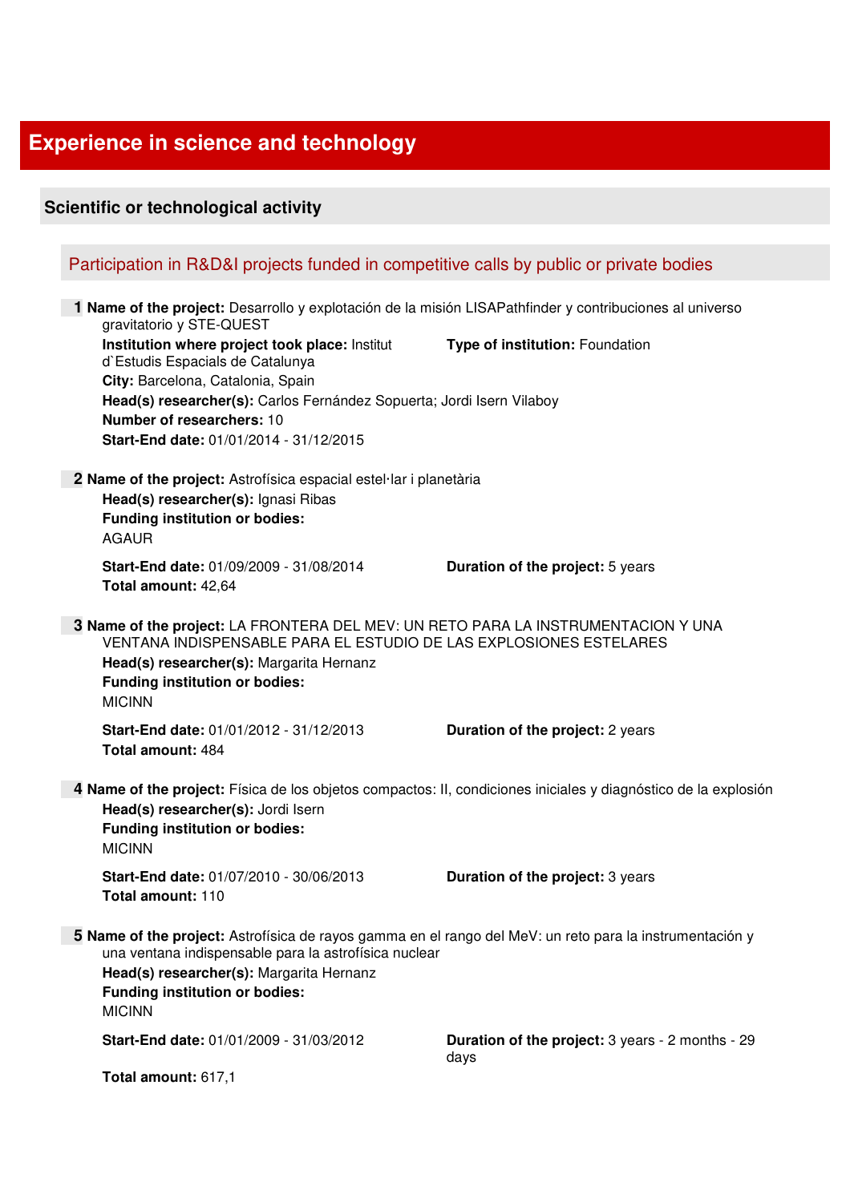## **Experience in science and technology**

## **Scientific or technological activity**  Participation in R&D&I projects funded in competitive calls by public or private bodies  **1 Name of the project:** Desarrollo y explotación de la misión LISAPathfinder y contribuciones al universo gravitatorio y STE-QUEST **Institution where project took place:** Institut d`Estudis Espacials de Catalunya **City:** Barcelona, Catalonia, Spain **Type of institution:** Foundation **Head(s) researcher(s):** Carlos Fernández Sopuerta; Jordi Isern Vilaboy **Number of researchers:** 10 **Start-End date:** 01/01/2014 - 31/12/2015  **2 Name of the project:** Astrofísica espacial estel·lar i planetària **Head(s) researcher(s):** Ignasi Ribas **Funding institution or bodies:**  AGAUR **Start-End date:** 01/09/2009 - 31/08/2014 **Duration of the project:** 5 years **Total amount:** 42,64  **3 Name of the project:** LA FRONTERA DEL MEV: UN RETO PARA LA INSTRUMENTACION Y UNA VENTANA INDISPENSABLE PARA EL ESTUDIO DE LAS EXPLOSIONES ESTELARES **Head(s) researcher(s):** Margarita Hernanz **Funding institution or bodies:**  MICINN **Start-End date:** 01/01/2012 - 31/12/2013 **Duration of the project:** 2 years **Total amount:** 484  **4 Name of the project:** Física de los objetos compactos: II, condiciones iniciales y diagnóstico de la explosión **Head(s) researcher(s):** Jordi Isern **Funding institution or bodies:**  MICINN **Start-End date:** 01/07/2010 - 30/06/2013 **Duration of the project:** 3 years **Total amount:** 110  **5 Name of the project:** Astrofísica de rayos gamma en el rango del MeV: un reto para la instrumentación y una ventana indispensable para la astrofísica nuclear **Head(s) researcher(s):** Margarita Hernanz **Funding institution or bodies:**  MICINN **Start-End date:** 01/01/2009 - 31/03/2012 **Duration of the project:** 3 years - 2 months - 29 days **Total amount:** 617,1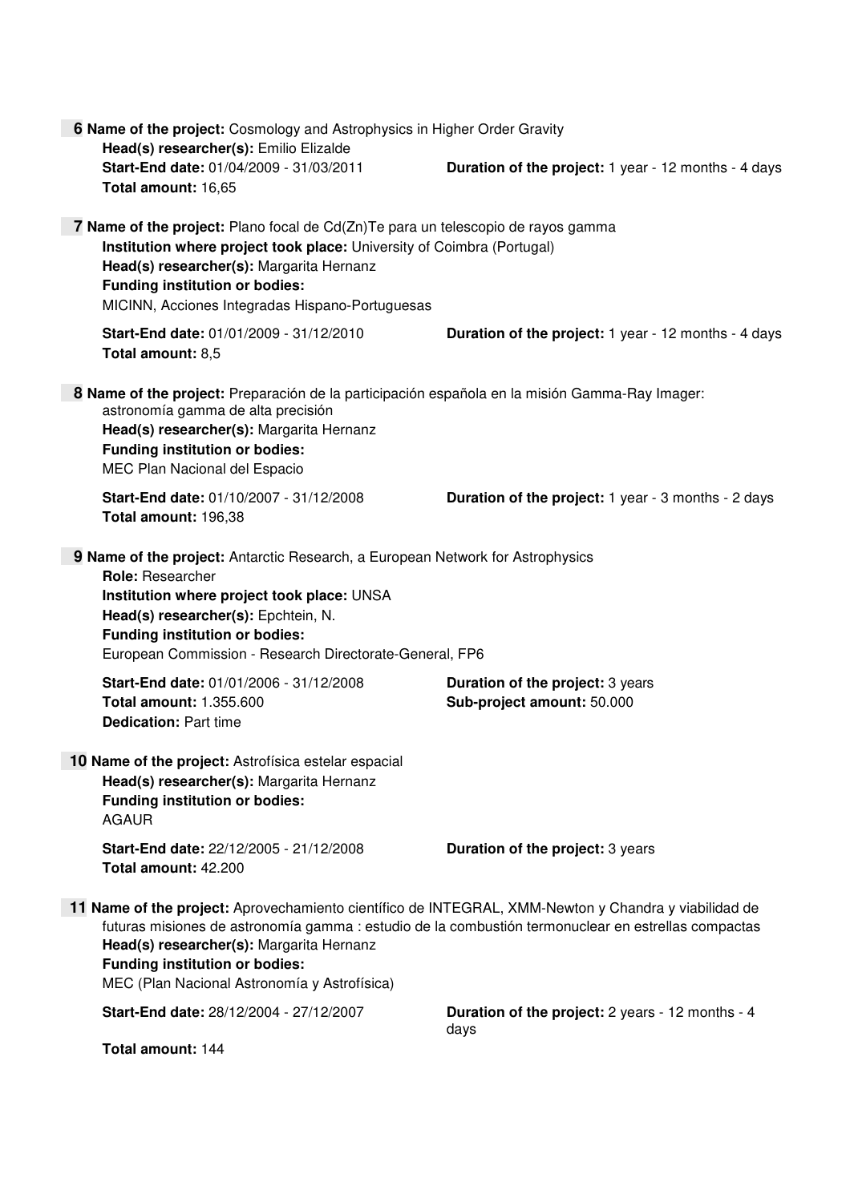| 6 Name of the project: Cosmology and Astrophysics in Higher Order Gravity<br>Head(s) researcher(s): Emilio Elizalde |                                                                                                                                                                                                                                                                                                                                                  |                                                                       |  |
|---------------------------------------------------------------------------------------------------------------------|--------------------------------------------------------------------------------------------------------------------------------------------------------------------------------------------------------------------------------------------------------------------------------------------------------------------------------------------------|-----------------------------------------------------------------------|--|
|                                                                                                                     | Start-End date: 01/04/2009 - 31/03/2011<br>Total amount: 16,65                                                                                                                                                                                                                                                                                   | <b>Duration of the project:</b> 1 year - 12 months - 4 days           |  |
|                                                                                                                     | <b>7 Name of the project:</b> Plano focal de Cd(Zn)Te para un telescopio de rayos gamma<br>Institution where project took place: University of Coimbra (Portugal)<br>Head(s) researcher(s): Margarita Hernanz<br><b>Funding institution or bodies:</b><br>MICINN, Acciones Integradas Hispano-Portuguesas                                        |                                                                       |  |
|                                                                                                                     | Start-End date: 01/01/2009 - 31/12/2010<br>Total amount: 8,5                                                                                                                                                                                                                                                                                     | <b>Duration of the project:</b> 1 year - 12 months - 4 days           |  |
|                                                                                                                     | 8 Name of the project: Preparación de la participación española en la misión Gamma-Ray Imager:<br>astronomía gamma de alta precisión<br>Head(s) researcher(s): Margarita Hernanz<br><b>Funding institution or bodies:</b><br>MEC Plan Nacional del Espacio                                                                                       |                                                                       |  |
|                                                                                                                     | Start-End date: 01/10/2007 - 31/12/2008<br>Total amount: 196,38                                                                                                                                                                                                                                                                                  | <b>Duration of the project:</b> 1 year - 3 months - 2 days            |  |
|                                                                                                                     | 9 Name of the project: Antarctic Research, a European Network for Astrophysics<br><b>Role: Researcher</b><br>Institution where project took place: UNSA<br>Head(s) researcher(s): Epchtein, N.<br><b>Funding institution or bodies:</b><br>European Commission - Research Directorate-General, FP6                                               |                                                                       |  |
|                                                                                                                     | Start-End date: 01/01/2006 - 31/12/2008<br><b>Total amount: 1.355.600</b><br><b>Dedication: Part time</b>                                                                                                                                                                                                                                        | <b>Duration of the project: 3 years</b><br>Sub-project amount: 50.000 |  |
|                                                                                                                     | 10 Name of the project: Astrofísica estelar espacial<br>Head(s) researcher(s): Margarita Hernanz<br><b>Funding institution or bodies:</b><br><b>AGAUR</b>                                                                                                                                                                                        |                                                                       |  |
|                                                                                                                     | Start-End date: 22/12/2005 - 21/12/2008<br>Total amount: 42.200                                                                                                                                                                                                                                                                                  | Duration of the project: 3 years                                      |  |
|                                                                                                                     | 11 Name of the project: Aprovechamiento científico de INTEGRAL, XMM-Newton y Chandra y viabilidad de<br>futuras misiones de astronomía gamma : estudio de la combustión termonuclear en estrellas compactas<br>Head(s) researcher(s): Margarita Hernanz<br><b>Funding institution or bodies:</b><br>MEC (Plan Nacional Astronomía y Astrofísica) |                                                                       |  |
|                                                                                                                     | Start-End date: 28/12/2004 - 27/12/2007                                                                                                                                                                                                                                                                                                          | Duration of the project: 2 years - 12 months - 4<br>days              |  |
|                                                                                                                     | Total amount: 144                                                                                                                                                                                                                                                                                                                                |                                                                       |  |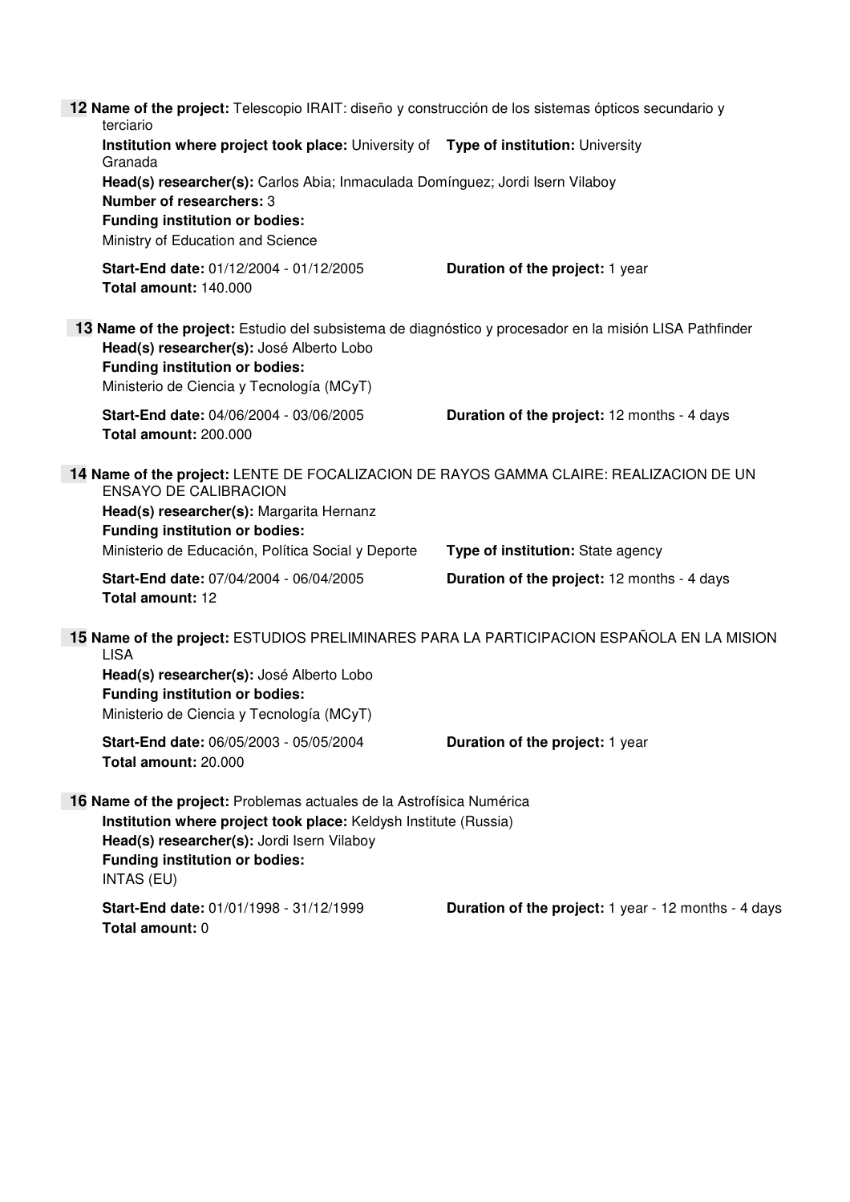**12 Name of the project:** Telescopio IRAIT: diseño y construcción de los sistemas ópticos secundario y terciario **Institution where project took place:** University of **Type of institution:** University Granada **Head(s) researcher(s):** Carlos Abia; Inmaculada Domínguez; Jordi Isern Vilaboy **Number of researchers:** 3 **Funding institution or bodies:**  Ministry of Education and Science **Start-End date:** 01/12/2004 - 01/12/2005 **Duration of the project:** 1 year **Total amount:** 140.000  **13 Name of the project:** Estudio del subsistema de diagnóstico y procesador en la misión LISA Pathfinder **Head(s) researcher(s):** José Alberto Lobo **Funding institution or bodies:**  Ministerio de Ciencia y Tecnología (MCyT) **Start-End date:** 04/06/2004 - 03/06/2005 **Duration of the project:** 12 months - 4 days **Total amount:** 200.000  **14 Name of the project:** LENTE DE FOCALIZACION DE RAYOS GAMMA CLAIRE: REALIZACION DE UN ENSAYO DE CALIBRACION **Head(s) researcher(s):** Margarita Hernanz **Funding institution or bodies:**  Ministerio de Educación, Política Social y Deporte **Type of institution:** State agency **Start-End date:** 07/04/2004 - 06/04/2005 **Duration of the project:** 12 months - 4 days **Total amount:** 12  **15 Name of the project:** ESTUDIOS PRELIMINARES PARA LA PARTICIPACION ESPAÑOLA EN LA MISION LISA **Head(s) researcher(s):** José Alberto Lobo **Funding institution or bodies:**  Ministerio de Ciencia y Tecnología (MCyT) **Start-End date:** 06/05/2003 - 05/05/2004 **Duration of the project:** 1 year **Total amount:** 20.000  **16 Name of the project:** Problemas actuales de la Astrofísica Numérica **Institution where project took place:** Keldysh Institute (Russia) **Head(s) researcher(s):** Jordi Isern Vilaboy **Funding institution or bodies:**  INTAS (EU) **Start-End date:** 01/01/1998 - 31/12/1999 **Duration of the project:** 1 year - 12 months - 4 days **Total amount:** 0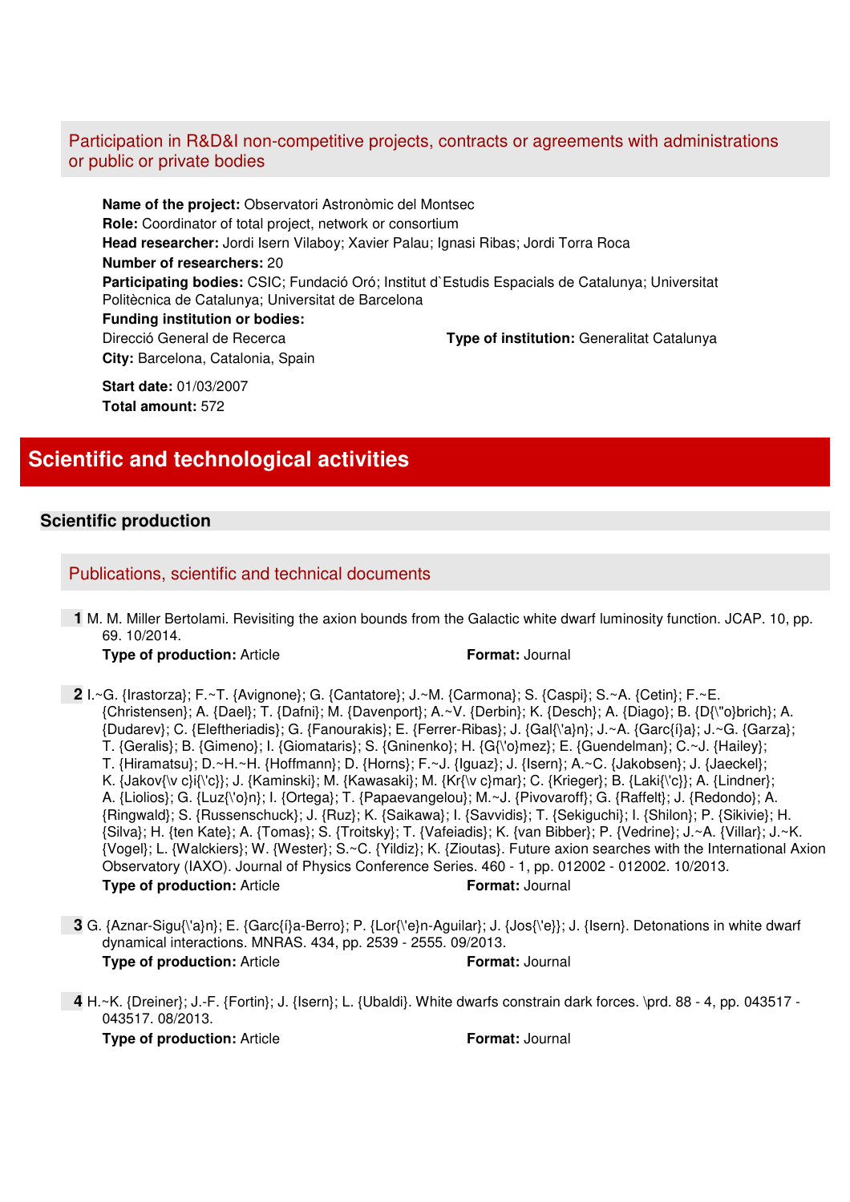## Participation in R&D&I non-competitive projects, contracts or agreements with administrations or public or private bodies

**Name of the project:** Observatori Astronòmic del Montsec **Role:** Coordinator of total project, network or consortium **Head researcher:** Jordi Isern Vilaboy; Xavier Palau; Ignasi Ribas; Jordi Torra Roca **Number of researchers:** 20 **Participating bodies:** CSIC; Fundació Oró; Institut d`Estudis Espacials de Catalunya; Universitat Politècnica de Catalunya; Universitat de Barcelona **Funding institution or bodies:**  Direcció General de Recerca **Type of institution:** Generalitat Catalunya **City:** Barcelona, Catalonia, Spain

**Start date:** 01/03/2007 **Total amount:** 572

## **Scientific and technological activities**

## **Scientific production**

## Publications, scientific and technical documents

 **1** M. M. Miller Bertolami. Revisiting the axion bounds from the Galactic white dwarf luminosity function. JCAP. 10, pp. 69. 10/2014.

#### **Type of production:** Article **Format:** Journal

- **2** I.~G. {Irastorza}; F.~T. {Avignone}; G. {Cantatore}; J.~M. {Carmona}; S. {Caspi}; S.~A. {Cetin}; F.~E. {Christensen}; A. {Dael}; T. {Dafni}; M. {Davenport}; A.~V. {Derbin}; K. {Desch}; A. {Diago}; B. {D{\"o}brich}; A. {Dudarev}; C. {Eleftheriadis}; G. {Fanourakis}; E. {Ferrer-Ribas}; J. {Gal{\'a}n}; J.~A. {Garc{í}a}; J.~G. {Garza}; T. {Geralis}; B. {Gimeno}; I. {Giomataris}; S. {Gninenko}; H. {G{\'o}mez}; E. {Guendelman}; C.~J. {Hailey}; T. {Hiramatsu}; D.~H.~H. {Hoffmann}; D. {Horns}; F.~J. {Iguaz}; J. {Isern}; A.~C. {Jakobsen}; J. {Jaeckel}; K. {Jakov{\v c}i{\'c}}; J. {Kaminski}; M. {Kawasaki}; M. {Kr{\v c}mar}; C. {Krieger}; B. {Laki{\'c}}; A. {Lindner}; A. {Liolios}; G. {Luz{\'o}n}; I. {Ortega}; T. {Papaevangelou}; M.~J. {Pivovaroff}; G. {Raffelt}; J. {Redondo}; A. {Ringwald}; S. {Russenschuck}; J. {Ruz}; K. {Saikawa}; I. {Savvidis}; T. {Sekiguchi}; I. {Shilon}; P. {Sikivie}; H. {Silva}; H. {ten Kate}; A. {Tomas}; S. {Troitsky}; T. {Vafeiadis}; K. {van Bibber}; P. {Vedrine}; J.~A. {Villar}; J.~K. {Vogel}; L. {Walckiers}; W. {Wester}; S.~C. {Yildiz}; K. {Zioutas}. Future axion searches with the International Axion Observatory (IAXO). Journal of Physics Conference Series. 460 - 1, pp. 012002 - 012002. 10/2013. **Type of production:** Article **Format:** Journal
- **3** G. {Aznar-Sigu{\'a}n}; E. {Garc{í}a-Berro}; P. {Lor{\'e}n-Aguilar}; J. {Jos{\'e}}; J. {Isern}. Detonations in white dwarf dynamical interactions. MNRAS. 434, pp. 2539 - 2555. 09/2013. **Type of production:** Article **Format:** Journal
- **4** H.~K. {Dreiner}; J.-F. {Fortin}; J. {Isern}; L. {Ubaldi}. White dwarfs constrain dark forces. \prd. 88 4, pp. 043517 043517. 08/2013.

**Type of production:** Article **Format:** Journal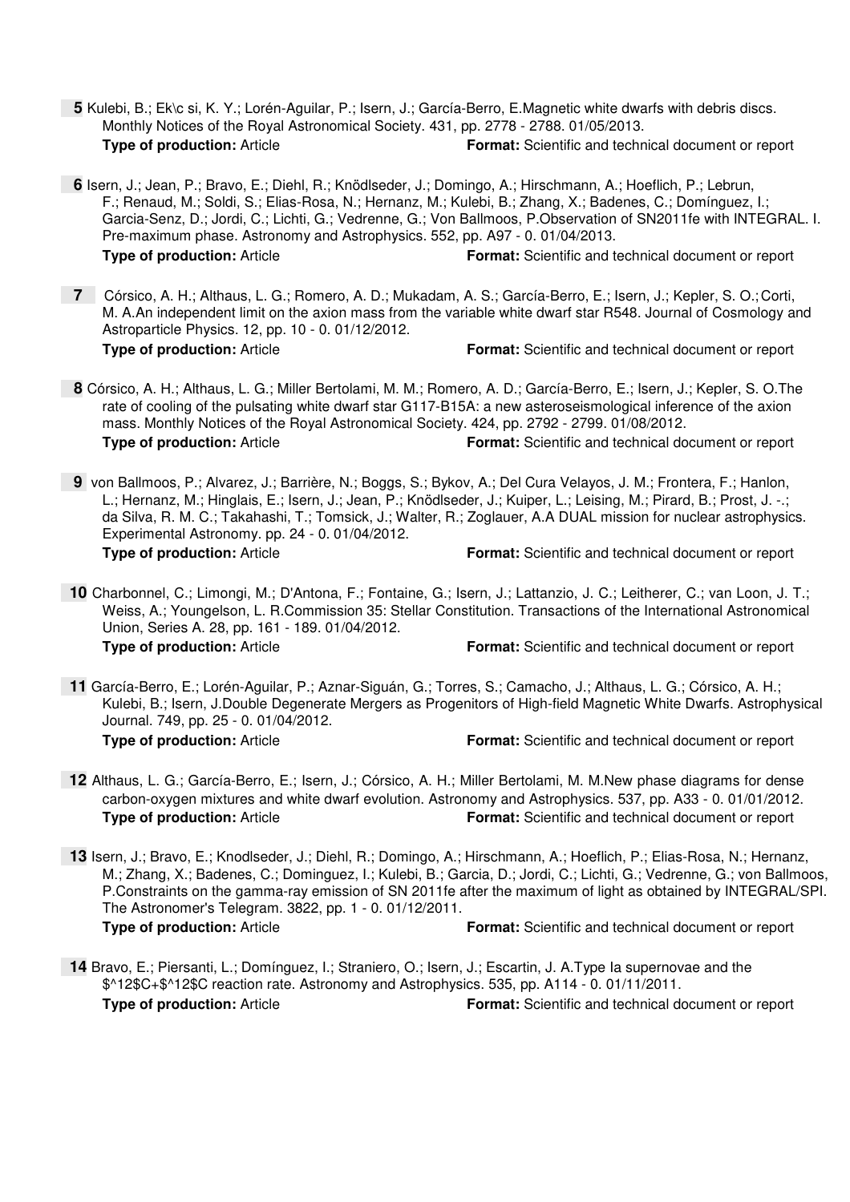- **5** Kulebi, B.; Ek\c si, K. Y.; Lorén-Aguilar, P.; Isern, J.; García-Berro, E.Magnetic white dwarfs with debris discs. Monthly Notices of the Royal Astronomical Society. 431, pp. 2778 - 2788. 01/05/2013. **Type of production:** Article **Format:** Scientific and technical document or report
- **6** Isern, J.; Jean, P.; Bravo, E.; Diehl, R.; Knödlseder, J.; Domingo, A.; Hirschmann, A.; Hoeflich, P.; Lebrun, F.; Renaud, M.; Soldi, S.; Elias-Rosa, N.; Hernanz, M.; Kulebi, B.; Zhang, X.; Badenes, C.; Domínguez, I.; Garcia-Senz, D.; Jordi, C.; Lichti, G.; Vedrenne, G.; Von Ballmoos, P.Observation of SN2011fe with INTEGRAL. I. Pre-maximum phase. Astronomy and Astrophysics. 552, pp. A97 - 0. 01/04/2013. **Type of production:** Article **Format:** Scientific and technical document or report
- **7** Córsico, A. H.; Althaus, L. G.; Romero, A. D.; Mukadam, A. S.; García-Berro, E.; Isern, J.; Kepler, S. O.; Corti, M. A.An independent limit on the axion mass from the variable white dwarf star R548. Journal of Cosmology and Astroparticle Physics. 12, pp. 10 - 0. 01/12/2012. **Type of production:** Article **Format:** Scientific and technical document or report
- **8** Córsico, A. H.; Althaus, L. G.; Miller Bertolami, M. M.; Romero, A. D.; García-Berro, E.; Isern, J.; Kepler, S. O.The rate of cooling of the pulsating white dwarf star G117-B15A: a new asteroseismological inference of the axion mass. Monthly Notices of the Royal Astronomical Society. 424, pp. 2792 - 2799. 01/08/2012. **Type of production:** Article **Format:** Scientific and technical document or report
- **9** von Ballmoos, P.; Alvarez, J.; Barrière, N.; Boggs, S.; Bykov, A.; Del Cura Velayos, J. M.; Frontera, F.; Hanlon, L.; Hernanz, M.; Hinglais, E.; Isern, J.; Jean, P.; Knödlseder, J.; Kuiper, L.; Leising, M.; Pirard, B.; Prost, J. -.; da Silva, R. M. C.; Takahashi, T.; Tomsick, J.; Walter, R.; Zoglauer, A.A DUAL mission for nuclear astrophysics. Experimental Astronomy. pp. 24 - 0. 01/04/2012. **Type of production:** Article **Format:** Scientific and technical document or report
- **10** Charbonnel, C.; Limongi, M.; D'Antona, F.; Fontaine, G.; Isern, J.; Lattanzio, J. C.; Leitherer, C.; van Loon, J. T.; Weiss, A.; Youngelson, L. R.Commission 35: Stellar Constitution. Transactions of the International Astronomical Union, Series A. 28, pp. 161 - 189. 01/04/2012. **Type of production:** Article **Format:** Scientific and technical document or report
- **11** García-Berro, E.; Lorén-Aguilar, P.; Aznar-Siguán, G.; Torres, S.; Camacho, J.; Althaus, L. G.; Córsico, A. H.; Kulebi, B.; Isern, J.Double Degenerate Mergers as Progenitors of High-field Magnetic White Dwarfs. Astrophysical Journal. 749, pp. 25 - 0. 01/04/2012. **Type of production:** Article **Format:** Scientific and technical document or report
- **12** Althaus, L. G.; García-Berro, E.; Isern, J.; Córsico, A. H.; Miller Bertolami, M. M.New phase diagrams for dense carbon-oxygen mixtures and white dwarf evolution. Astronomy and Astrophysics. 537, pp. A33 - 0. 01/01/2012. **Type of production:** Article **Format:** Scientific and technical document or report
- **13** Isern, J.; Bravo, E.; Knodlseder, J.; Diehl, R.; Domingo, A.; Hirschmann, A.; Hoeflich, P.; Elias-Rosa, N.; Hernanz, M.; Zhang, X.; Badenes, C.; Dominguez, I.; Kulebi, B.; Garcia, D.; Jordi, C.; Lichti, G.; Vedrenne, G.; von Ballmoos, P.Constraints on the gamma-ray emission of SN 2011fe after the maximum of light as obtained by INTEGRAL/SPI. The Astronomer's Telegram. 3822, pp. 1 - 0. 01/12/2011. **Type of production:** Article **Format:** Scientific and technical document or report
- **14** Bravo, E.; Piersanti, L.; Domínguez, I.; Straniero, O.; Isern, J.; Escartin, J. A.Type Ia supernovae and the \$^12\$C+\$^12\$C reaction rate. Astronomy and Astrophysics. 535, pp. A114 - 0. 01/11/2011. **Type of production:** Article **Format:** Scientific and technical document or report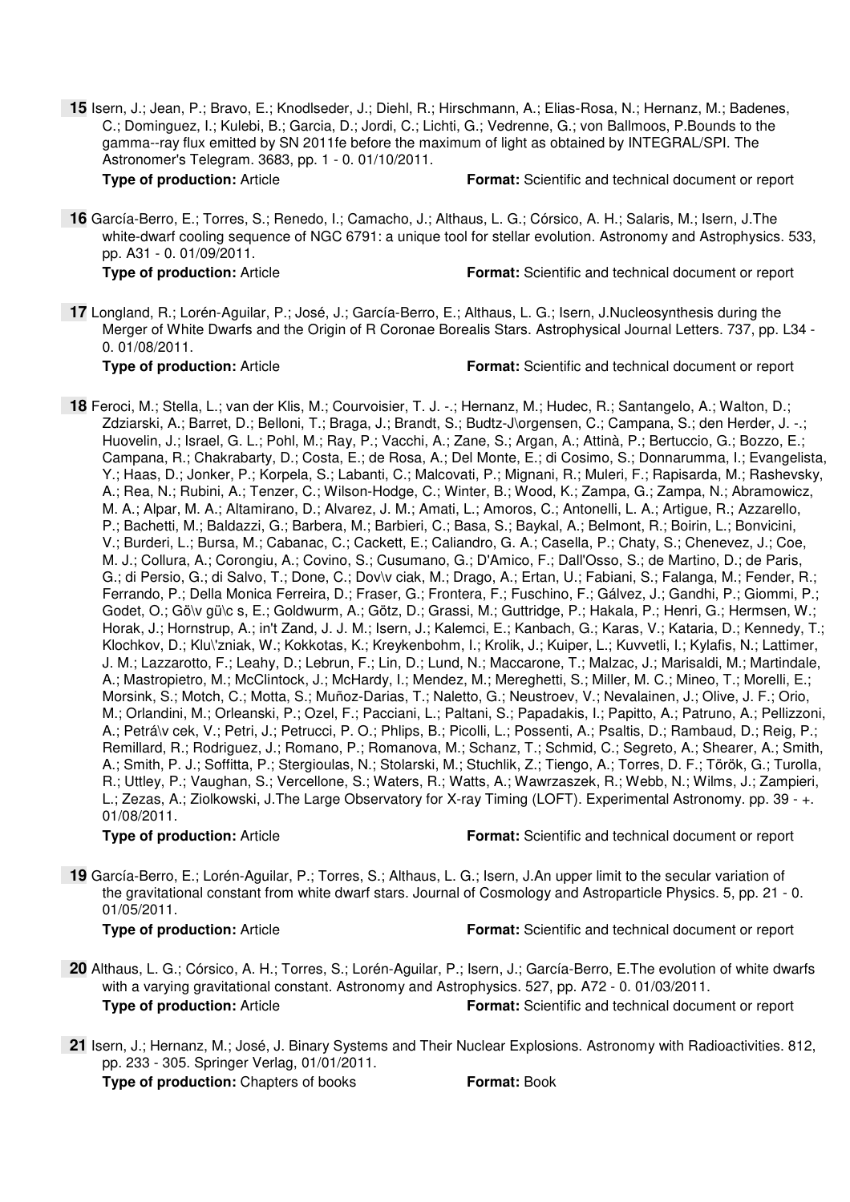**15** Isern, J.; Jean, P.; Bravo, E.; Knodlseder, J.; Diehl, R.; Hirschmann, A.; Elias-Rosa, N.; Hernanz, M.; Badenes, C.; Dominguez, I.; Kulebi, B.; Garcia, D.; Jordi, C.; Lichti, G.; Vedrenne, G.; von Ballmoos, P.Bounds to the gamma--ray flux emitted by SN 2011fe before the maximum of light as obtained by INTEGRAL/SPI. The Astronomer's Telegram. 3683, pp. 1 - 0. 01/10/2011.

**Type of production:** Article **Format:** Scientific and technical document or report

 **16** García-Berro, E.; Torres, S.; Renedo, I.; Camacho, J.; Althaus, L. G.; Córsico, A. H.; Salaris, M.; Isern, J.The white-dwarf cooling sequence of NGC 6791: a unique tool for stellar evolution. Astronomy and Astrophysics. 533, pp. A31 - 0. 01/09/2011.

**Type of production:** Article **Format:** Scientific and technical document or report

 **17** Longland, R.; Lorén-Aguilar, P.; José, J.; García-Berro, E.; Althaus, L. G.; Isern, J.Nucleosynthesis during the Merger of White Dwarfs and the Origin of R Coronae Borealis Stars. Astrophysical Journal Letters. 737, pp. L34 - 0. 01/08/2011.

**Type of production:** Article **Format:** Scientific and technical document or report

 **18** Feroci, M.; Stella, L.; van der Klis, M.; Courvoisier, T. J. -.; Hernanz, M.; Hudec, R.; Santangelo, A.; Walton, D.; Zdziarski, A.; Barret, D.; Belloni, T.; Braga, J.; Brandt, S.; Budtz-J\orgensen, C.; Campana, S.; den Herder, J. -.; Huovelin, J.; Israel, G. L.; Pohl, M.; Ray, P.; Vacchi, A.; Zane, S.; Argan, A.; Attinà, P.; Bertuccio, G.; Bozzo, E.; Campana, R.; Chakrabarty, D.; Costa, E.; de Rosa, A.; Del Monte, E.; di Cosimo, S.; Donnarumma, I.; Evangelista, Y.; Haas, D.; Jonker, P.; Korpela, S.; Labanti, C.; Malcovati, P.; Mignani, R.; Muleri, F.; Rapisarda, M.; Rashevsky, A.; Rea, N.; Rubini, A.; Tenzer, C.; Wilson-Hodge, C.; Winter, B.; Wood, K.; Zampa, G.; Zampa, N.; Abramowicz, M. A.; Alpar, M. A.; Altamirano, D.; Alvarez, J. M.; Amati, L.; Amoros, C.; Antonelli, L. A.; Artigue, R.; Azzarello, P.; Bachetti, M.; Baldazzi, G.; Barbera, M.; Barbieri, C.; Basa, S.; Baykal, A.; Belmont, R.; Boirin, L.; Bonvicini, V.; Burderi, L.; Bursa, M.; Cabanac, C.; Cackett, E.; Caliandro, G. A.; Casella, P.; Chaty, S.; Chenevez, J.; Coe, M. J.; Collura, A.; Corongiu, A.; Covino, S.; Cusumano, G.; D'Amico, F.; Dall'Osso, S.; de Martino, D.; de Paris, G.; di Persio, G.; di Salvo, T.; Done, C.; Dov\v ciak, M.; Drago, A.; Ertan, U.; Fabiani, S.; Falanga, M.; Fender, R.; Ferrando, P.; Della Monica Ferreira, D.; Fraser, G.; Frontera, F.; Fuschino, F.; Gálvez, J.; Gandhi, P.; Giommi, P.; Godet, O.; Gö\v gü\c s, E.; Goldwurm, A.; Götz, D.; Grassi, M.; Guttridge, P.; Hakala, P.; Henri, G.; Hermsen, W.; Horak, J.; Hornstrup, A.; in't Zand, J. J. M.; Isern, J.; Kalemci, E.; Kanbach, G.; Karas, V.; Kataria, D.; Kennedy, T.; Klochkov, D.; Klu\'zniak, W.; Kokkotas, K.; Kreykenbohm, I.; Krolik, J.; Kuiper, L.; Kuvvetli, I.; Kylafis, N.; Lattimer, J. M.; Lazzarotto, F.; Leahy, D.; Lebrun, F.; Lin, D.; Lund, N.; Maccarone, T.; Malzac, J.; Marisaldi, M.; Martindale, A.; Mastropietro, M.; McClintock, J.; McHardy, I.; Mendez, M.; Mereghetti, S.; Miller, M. C.; Mineo, T.; Morelli, E.; Morsink, S.; Motch, C.; Motta, S.; Muñoz-Darias, T.; Naletto, G.; Neustroev, V.; Nevalainen, J.; Olive, J. F.; Orio, M.; Orlandini, M.; Orleanski, P.; Ozel, F.; Pacciani, L.; Paltani, S.; Papadakis, I.; Papitto, A.; Patruno, A.; Pellizzoni, A.; Petrá\v cek, V.; Petri, J.; Petrucci, P. O.; Phlips, B.; Picolli, L.; Possenti, A.; Psaltis, D.; Rambaud, D.; Reig, P.; Remillard, R.; Rodriguez, J.; Romano, P.; Romanova, M.; Schanz, T.; Schmid, C.; Segreto, A.; Shearer, A.; Smith, A.; Smith, P. J.; Soffitta, P.; Stergioulas, N.; Stolarski, M.; Stuchlik, Z.; Tiengo, A.; Torres, D. F.; Török, G.; Turolla, R.; Uttley, P.; Vaughan, S.; Vercellone, S.; Waters, R.; Watts, A.; Wawrzaszek, R.; Webb, N.; Wilms, J.; Zampieri, L.; Zezas, A.; Ziolkowski, J.The Large Observatory for X-ray Timing (LOFT). Experimental Astronomy. pp. 39 - +. 01/08/2011.

**Type of production:** Article **Format:** Scientific and technical document or report

 **19** García-Berro, E.; Lorén-Aguilar, P.; Torres, S.; Althaus, L. G.; Isern, J.An upper limit to the secular variation of the gravitational constant from white dwarf stars. Journal of Cosmology and Astroparticle Physics. 5, pp. 21 - 0. 01/05/2011.

**Type of production:** Article **Format:** Scientific and technical document or report

- **20** Althaus, L. G.; Córsico, A. H.; Torres, S.; Lorén-Aguilar, P.; Isern, J.; García-Berro, E.The evolution of white dwarfs with a varying gravitational constant. Astronomy and Astrophysics. 527, pp. A72 - 0. 01/03/2011. **Type of production:** Article **Format:** Scientific and technical document or report
- **21** Isern, J.; Hernanz, M.; José, J. Binary Systems and Their Nuclear Explosions. Astronomy with Radioactivities. 812, pp. 233 - 305. Springer Verlag, 01/01/2011.

**Type of production:** Chapters of books **Format: Book**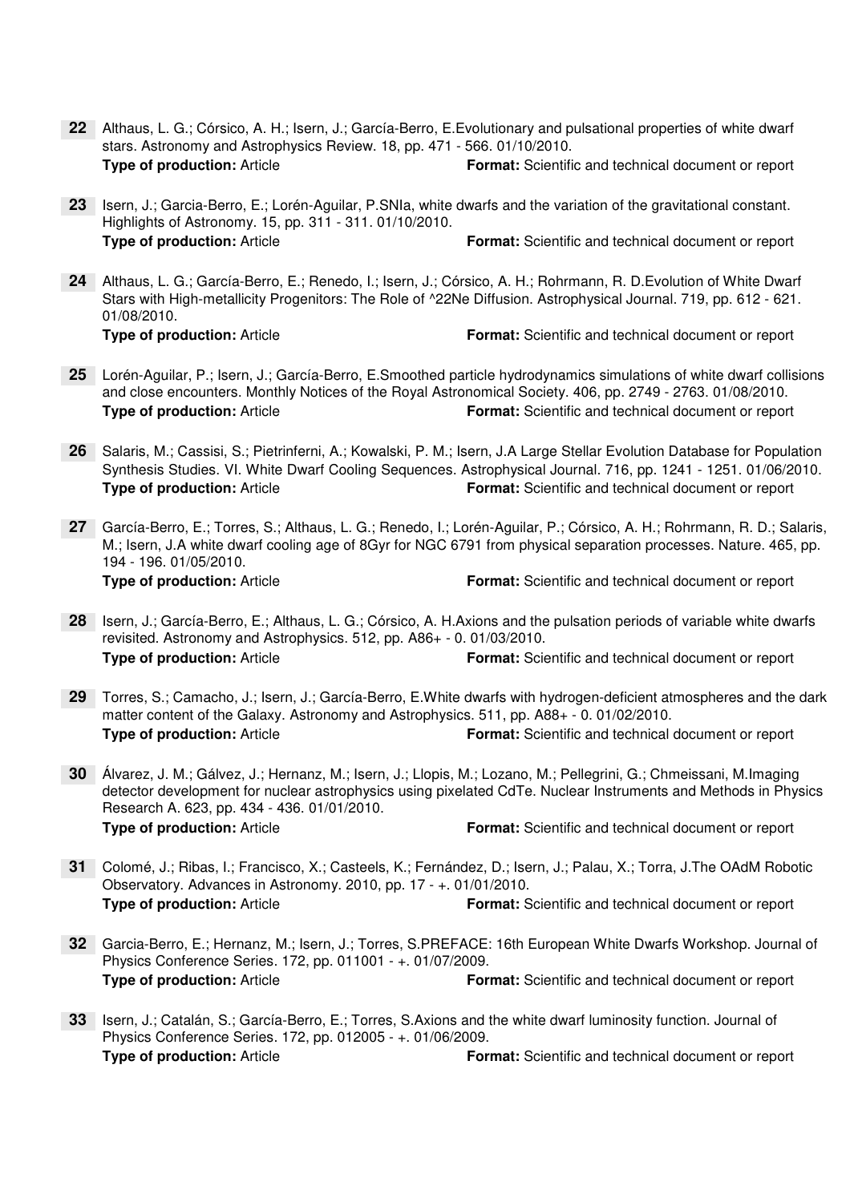- Althaus, L. G.; Córsico, A. H.; Isern, J.; García-Berro, E.Evolutionary and pulsational properties of white dwarf **22**stars. Astronomy and Astrophysics Review. 18, pp. 471 - 566. 01/10/2010. **Type of production:** Article **Format:** Scientific and technical document or report
- 23 Isern, J.; Garcia-Berro, E.; Lorén-Aguilar, P.SNIa, white dwarfs and the variation of the gravitational constant. Highlights of Astronomy. 15, pp. 311 - 311. 01/10/2010. **Type of production:** Article **Format:** Scientific and technical document or report
- Althaus, L. G.; García-Berro, E.; Renedo, I.; Isern, J.; Córsico, A. H.; Rohrmann, R. D.Evolution of White Dwarf **24** Stars with High-metallicity Progenitors: The Role of ^22Ne Diffusion. Astrophysical Journal. 719, pp. 612 - 621. 01/08/2010.

- Lorén-Aguilar, P.; Isern, J.; García-Berro, E.Smoothed particle hydrodynamics simulations of white dwarf collisions **25** and close encounters. Monthly Notices of the Royal Astronomical Society. 406, pp. 2749 - 2763. 01/08/2010. **Type of production:** Article **Format:** Scientific and technical document or report
- Salaris, M.; Cassisi, S.; Pietrinferni, A.; Kowalski, P. M.; Isern, J.A Large Stellar Evolution Database for Population **26** Synthesis Studies. VI. White Dwarf Cooling Sequences. Astrophysical Journal. 716, pp. 1241 - 1251. 01/06/2010. **Type of production:** Article **Format:** Scientific and technical document or report
- García-Berro, E.; Torres, S.; Althaus, L. G.; Renedo, I.; Lorén-Aguilar, P.; Córsico, A. H.; Rohrmann, R. D.; Salaris, **27** M.; Isern, J.A white dwarf cooling age of 8Gyr for NGC 6791 from physical separation processes. Nature. 465, pp. 194 - 196. 01/05/2010.

- 28 Isern, J.; García-Berro, E.; Althaus, L. G.; Córsico, A. H.Axions and the pulsation periods of variable white dwarfs revisited. Astronomy and Astrophysics. 512, pp. A86+ - 0. 01/03/2010. **Type of production:** Article **Format:** Scientific and technical document or report
- Torres, S.; Camacho, J.; Isern, J.; García-Berro, E.White dwarfs with hydrogen-deficient atmospheres and the dark **29** matter content of the Galaxy. Astronomy and Astrophysics. 511, pp. A88+ - 0. 01/02/2010. **Type of production:** Article **Format:** Scientific and technical document or report
- Álvarez, J. M.; Gálvez, J.; Hernanz, M.; Isern, J.; Llopis, M.; Lozano, M.; Pellegrini, G.; Chmeissani, M.Imaging **30** detector development for nuclear astrophysics using pixelated CdTe. Nuclear Instruments and Methods in Physics Research A. 623, pp. 434 - 436. 01/01/2010. **Type of production:** Article **Format:** Scientific and technical document or report
- Colomé, J.; Ribas, I.; Francisco, X.; Casteels, K.; Fernández, D.; Isern, J.; Palau, X.; Torra, J.The OAdM Robotic **31** Observatory. Advances in Astronomy. 2010, pp. 17 - +. 01/01/2010. **Type of production:** Article **Format:** Scientific and technical document or report
- Garcia-Berro, E.; Hernanz, M.; Isern, J.; Torres, S.PREFACE: 16th European White Dwarfs Workshop. Journal of **32** Physics Conference Series. 172, pp. 011001 - +. 01/07/2009. **Type of production:** Article **Format:** Scientific and technical document or report
- 33 Isern, J.; Catalán, S.; García-Berro, E.; Torres, S.Axions and the white dwarf luminosity function. Journal of Physics Conference Series. 172, pp. 012005 - +. 01/06/2009. **Type of production:** Article **Format:** Scientific and technical document or report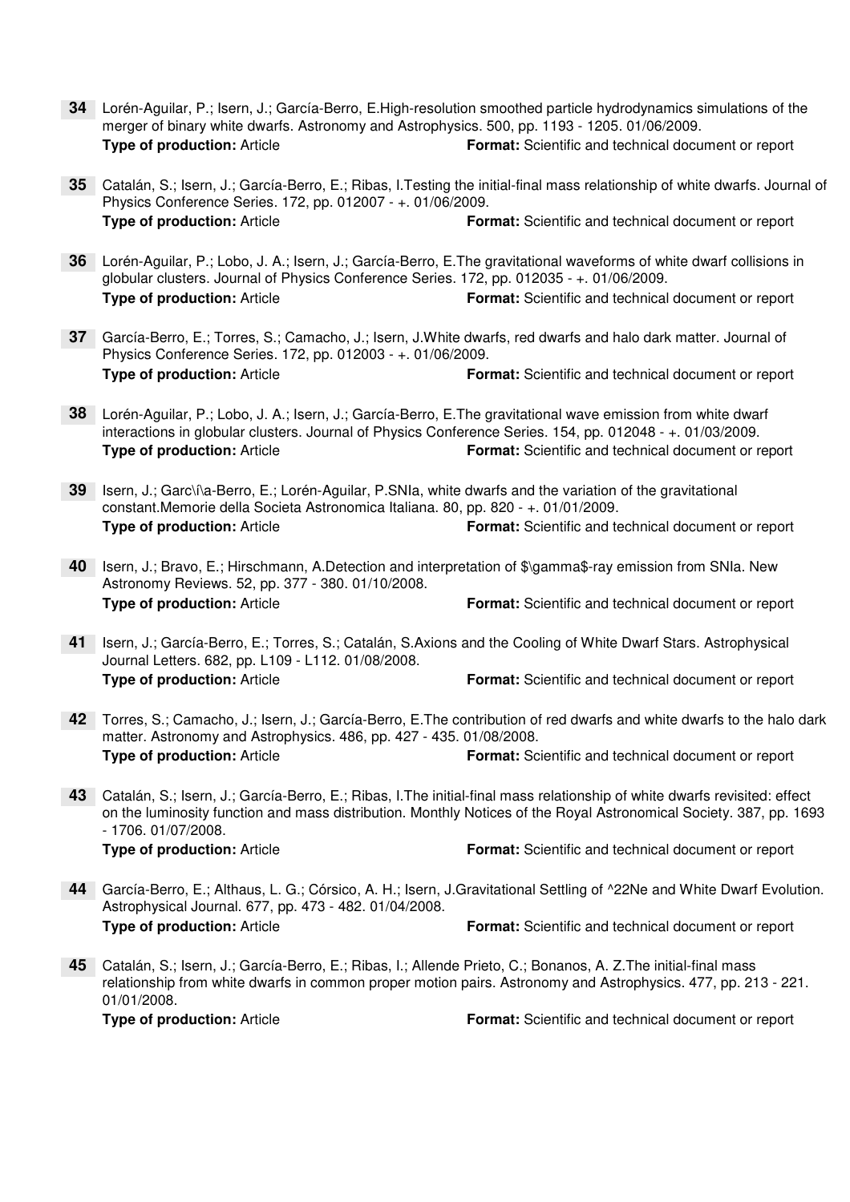- Lorén-Aguilar, P.; Isern, J.; García-Berro, E.High-resolution smoothed particle hydrodynamics simulations of the **34**merger of binary white dwarfs. Astronomy and Astrophysics. 500, pp. 1193 - 1205. 01/06/2009. **Type of production:** Article **Format:** Scientific and technical document or report
- Catalán, S.; Isern, J.; García-Berro, E.; Ribas, I.Testing the initial-final mass relationship of white dwarfs. Journal of **35** Physics Conference Series. 172, pp. 012007 - +. 01/06/2009. **Type of production:** Article **Format:** Scientific and technical document or report
- Lorén-Aguilar, P.; Lobo, J. A.; Isern, J.; García-Berro, E.The gravitational waveforms of white dwarf collisions in **36** globular clusters. Journal of Physics Conference Series. 172, pp. 012035 - +. 01/06/2009. **Type of production:** Article **Format:** Scientific and technical document or report
- García-Berro, E.; Torres, S.; Camacho, J.; Isern, J.White dwarfs, red dwarfs and halo dark matter. Journal of **37** Physics Conference Series. 172, pp. 012003 - +. 01/06/2009. **Type of production:** Article **Format:** Scientific and technical document or report
- Lorén-Aguilar, P.; Lobo, J. A.; Isern, J.; García-Berro, E.The gravitational wave emission from white dwarf **38** interactions in globular clusters. Journal of Physics Conference Series. 154, pp. 012048 - +. 01/03/2009. **Type of production:** Article **Format:** Scientific and technical document or report
- 39 Isern, J.; Garc\i\a-Berro, E.; Lorén-Aguilar, P.SNIa, white dwarfs and the variation of the gravitational constant.Memorie della Societa Astronomica Italiana. 80, pp. 820 - +. 01/01/2009. **Type of production:** Article **Format:** Scientific and technical document or report
- Isern, J.; Bravo, E.; Hirschmann, A.Detection and interpretation of \$\gamma\$-ray emission from SNIa. New **40** Astronomy Reviews. 52, pp. 377 - 380. 01/10/2008. **Type of production:** Article **Format:** Scientific and technical document or report
- 41 Isern, J.; García-Berro, E.; Torres, S.; Catalán, S.Axions and the Cooling of White Dwarf Stars. Astrophysical Journal Letters. 682, pp. L109 - L112. 01/08/2008. **Type of production:** Article **Format:** Scientific and technical document or report
- Torres, S.; Camacho, J.; Isern, J.; García-Berro, E.The contribution of red dwarfs and white dwarfs to the halo dark **42** matter. Astronomy and Astrophysics. 486, pp. 427 - 435. 01/08/2008. **Type of production:** Article **Format:** Scientific and technical document or report
- Catalán, S.; Isern, J.; García-Berro, E.; Ribas, I.The initial-final mass relationship of white dwarfs revisited: effect **43** on the luminosity function and mass distribution. Monthly Notices of the Royal Astronomical Society. 387, pp. 1693 - 1706. 01/07/2008. **Type of production:** Article **Format:** Scientific and technical document or report
- García-Berro, E.; Althaus, L. G.; Córsico, A. H.; Isern, J.Gravitational Settling of ^22Ne and White Dwarf Evolution. **44** Astrophysical Journal. 677, pp. 473 - 482. 01/04/2008. **Type of production:** Article **Format:** Scientific and technical document or report
- Catalán, S.; Isern, J.; García-Berro, E.; Ribas, I.; Allende Prieto, C.; Bonanos, A. Z.The initial-final mass **45** relationship from white dwarfs in common proper motion pairs. Astronomy and Astrophysics. 477, pp. 213 - 221. 01/01/2008.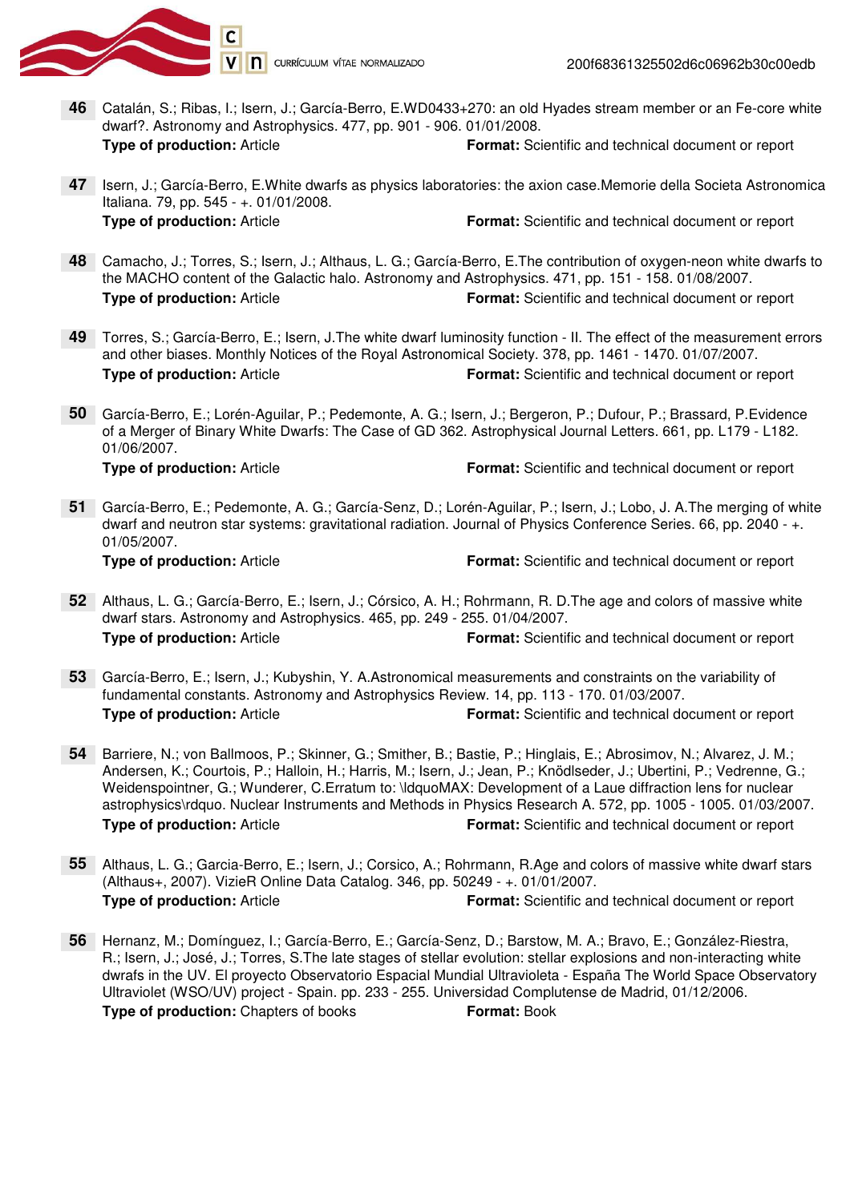

- **46** Catalán, S.; Ribas, I.; Isern, J.; García-Berro, E.WD0433+270: an old Hyades stream member or an Fe-core white dwarf?. Astronomy and Astrophysics. 477, pp. 901 - 906. 01/01/2008. **Type of production:** Article **Format:** Scientific and technical document or report
- 47 Isern, J.; García-Berro, E. White dwarfs as physics laboratories: the axion case. Memorie della Societa Astronomica Italiana. 79, pp. 545 - +. 01/01/2008. **Type of production:** Article **Format:** Scientific and technical document or report
- Camacho, J.; Torres, S.; Isern, J.; Althaus, L. G.; García-Berro, E.The contribution of oxygen-neon white dwarfs to **48** the MACHO content of the Galactic halo. Astronomy and Astrophysics. 471, pp. 151 - 158. 01/08/2007. **Type of production:** Article **Format:** Scientific and technical document or report
- Torres, S.; García-Berro, E.; Isern, J.The white dwarf luminosity function II. The effect of the measurement errors **49** and other biases. Monthly Notices of the Royal Astronomical Society. 378, pp. 1461 - 1470. 01/07/2007. **Type of production:** Article **Format:** Scientific and technical document or report
- García-Berro, E.; Lorén-Aguilar, P.; Pedemonte, A. G.; Isern, J.; Bergeron, P.; Dufour, P.; Brassard, P.Evidence **50** of a Merger of Binary White Dwarfs: The Case of GD 362. Astrophysical Journal Letters. 661, pp. L179 - L182. 01/06/2007.

García-Berro, E.; Pedemonte, A. G.; García-Senz, D.; Lorén-Aguilar, P.; Isern, J.; Lobo, J. A.The merging of white **51** dwarf and neutron star systems: gravitational radiation. Journal of Physics Conference Series. 66, pp. 2040 - +. 01/05/2007.

- Althaus, L. G.; García-Berro, E.; Isern, J.; Córsico, A. H.; Rohrmann, R. D.The age and colors of massive white **52** dwarf stars. Astronomy and Astrophysics. 465, pp. 249 - 255. 01/04/2007. **Type of production:** Article **Format:** Scientific and technical document or report
- García-Berro, E.; Isern, J.; Kubyshin, Y. A.Astronomical measurements and constraints on the variability of **53** fundamental constants. Astronomy and Astrophysics Review. 14, pp. 113 - 170. 01/03/2007. **Type of production:** Article **Format:** Scientific and technical document or report
- Barriere, N.; von Ballmoos, P.; Skinner, G.; Smither, B.; Bastie, P.; Hinglais, E.; Abrosimov, N.; Alvarez, J. M.; **54** Andersen, K.; Courtois, P.; Halloin, H.; Harris, M.; Isern, J.; Jean, P.; Knödlseder, J.; Ubertini, P.; Vedrenne, G.; Weidenspointner, G.; Wunderer, C.Erratum to: \ldquoMAX: Development of a Laue diffraction lens for nuclear astrophysics\rdquo. Nuclear Instruments and Methods in Physics Research A. 572, pp. 1005 - 1005. 01/03/2007. **Type of production:** Article **Format:** Scientific and technical document or report
- Althaus, L. G.; Garcia-Berro, E.; Isern, J.; Corsico, A.; Rohrmann, R.Age and colors of massive white dwarf stars **55** (Althaus+, 2007). VizieR Online Data Catalog. 346, pp. 50249 - +. 01/01/2007. **Type of production:** Article **Format:** Scientific and technical document or report
- Hernanz, M.; Domínguez, I.; García-Berro, E.; García-Senz, D.; Barstow, M. A.; Bravo, E.; González-Riestra, **56** R.; Isern, J.; José, J.; Torres, S.The late stages of stellar evolution: stellar explosions and non-interacting white dwrafs in the UV. El proyecto Observatorio Espacial Mundial Ultravioleta - España The World Space Observatory Ultraviolet (WSO/UV) project - Spain. pp. 233 - 255. Universidad Complutense de Madrid, 01/12/2006. **Type of production:** Chapters of books **Format:** Book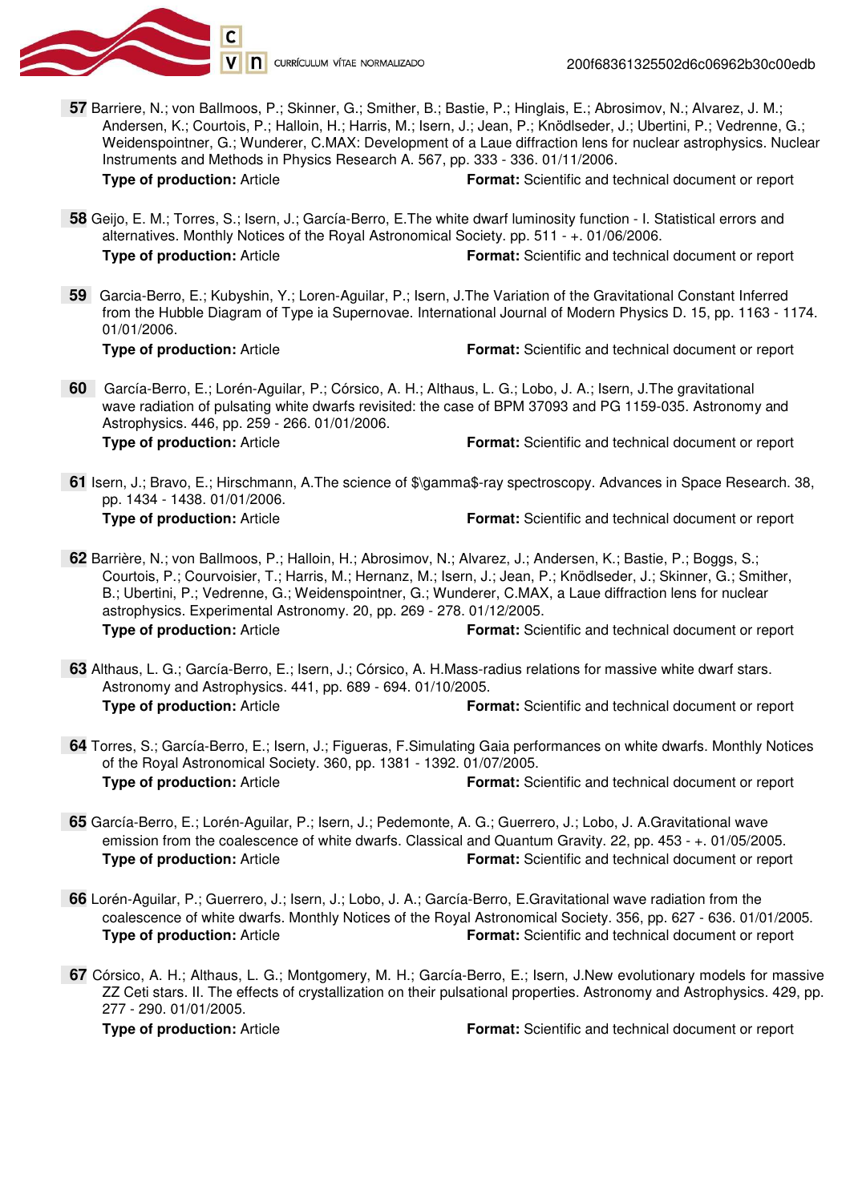

 **57** Barriere, N.; von Ballmoos, P.; Skinner, G.; Smither, B.; Bastie, P.; Hinglais, E.; Abrosimov, N.; Alvarez, J. M.; Andersen, K.; Courtois, P.; Halloin, H.; Harris, M.; Isern, J.; Jean, P.; Knödlseder, J.; Ubertini, P.; Vedrenne, G.; Weidenspointner, G.; Wunderer, C.MAX: Development of a Laue diffraction lens for nuclear astrophysics. Nuclear Instruments and Methods in Physics Research A. 567, pp. 333 - 336. 01/11/2006. **Type of production:** Article **Format:** Scientific and technical document or report

 **58** Geijo, E. M.; Torres, S.; Isern, J.; García-Berro, E.The white dwarf luminosity function - I. Statistical errors and alternatives. Monthly Notices of the Royal Astronomical Society. pp. 511 - +. 01/06/2006. **Type of production:** Article **Format:** Scientific and technical document or report

 **59** Garcia-Berro, E.; Kubyshin, Y.; Loren-Aguilar, P.; Isern, J.The Variation of the Gravitational Constant Inferred from the Hubble Diagram of Type ia Supernovae. International Journal of Modern Physics D. 15, pp. 1163 - 1174. 01/01/2006. **Type of production:** Article **Format:** Scientific and technical document or report

 **60** García-Berro, E.; Lorén-Aguilar, P.; Córsico, A. H.; Althaus, L. G.; Lobo, J. A.; Isern, J.The gravitational wave radiation of pulsating white dwarfs revisited: the case of BPM 37093 and PG 1159-035. Astronomy and Astrophysics. 446, pp. 259 - 266. 01/01/2006. **Type of production:** Article **Format:** Scientific and technical document or report

 **61** Isern, J.; Bravo, E.; Hirschmann, A.The science of \$\gamma\$-ray spectroscopy. Advances in Space Research. 38, pp. 1434 - 1438. 01/01/2006. **Type of production:** Article **Format:** Scientific and technical document or report

 **62** Barrière, N.; von Ballmoos, P.; Halloin, H.; Abrosimov, N.; Alvarez, J.; Andersen, K.; Bastie, P.; Boggs, S.; Courtois, P.; Courvoisier, T.; Harris, M.; Hernanz, M.; Isern, J.; Jean, P.; Knödlseder, J.; Skinner, G.; Smither, B.; Ubertini, P.; Vedrenne, G.; Weidenspointner, G.; Wunderer, C.MAX, a Laue diffraction lens for nuclear astrophysics. Experimental Astronomy. 20, pp. 269 - 278. 01/12/2005. **Type of production:** Article **Format:** Scientific and technical document or report

 **63** Althaus, L. G.; García-Berro, E.; Isern, J.; Córsico, A. H.Mass-radius relations for massive white dwarf stars. Astronomy and Astrophysics. 441, pp. 689 - 694. 01/10/2005. **Type of production:** Article **Format:** Scientific and technical document or report

 **64** Torres, S.; García-Berro, E.; Isern, J.; Figueras, F.Simulating Gaia performances on white dwarfs. Monthly Notices of the Royal Astronomical Society. 360, pp. 1381 - 1392. 01/07/2005. **Type of production:** Article **Format:** Scientific and technical document or report

 **65** García-Berro, E.; Lorén-Aguilar, P.; Isern, J.; Pedemonte, A. G.; Guerrero, J.; Lobo, J. A.Gravitational wave emission from the coalescence of white dwarfs. Classical and Quantum Gravity. 22, pp. 453 - +. 01/05/2005. **Type of production:** Article **Format:** Scientific and technical document or report

- **66** Lorén-Aguilar, P.; Guerrero, J.; Isern, J.; Lobo, J. A.; García-Berro, E.Gravitational wave radiation from the coalescence of white dwarfs. Monthly Notices of the Royal Astronomical Society. 356, pp. 627 - 636. 01/01/2005. **Type of production:** Article **Format:** Scientific and technical document or report
- **67** Córsico, A. H.; Althaus, L. G.; Montgomery, M. H.; García-Berro, E.; Isern, J.New evolutionary models for massive ZZ Ceti stars. II. The effects of crystallization on their pulsational properties. Astronomy and Astrophysics. 429, pp. 277 - 290. 01/01/2005.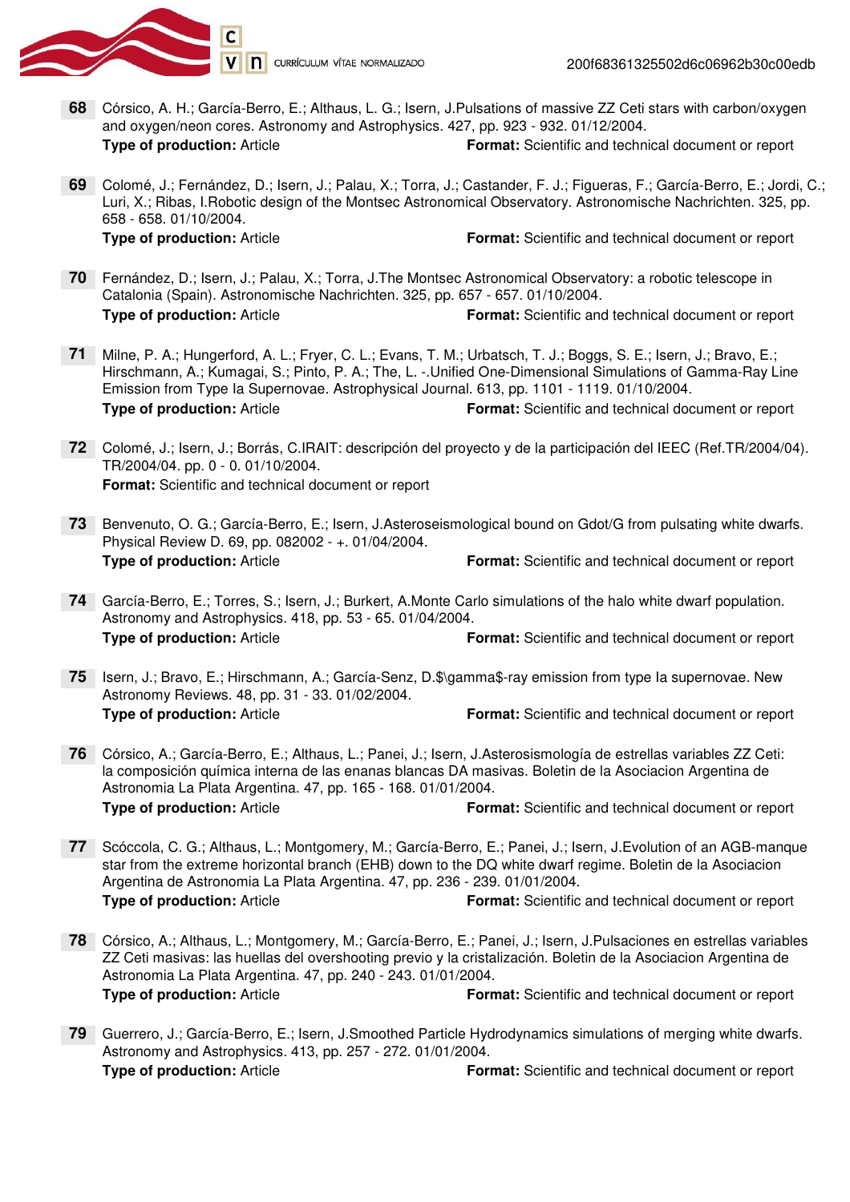

- Córsico, A. H.; García-Berro, E.; Althaus, L. G.; Isern, J.Pulsations of massive ZZ Ceti stars with carbon/oxygen **68**and oxygen/neon cores. Astronomy and Astrophysics. 427, pp. 923 - 932. 01/12/2004. **Type of production:** Article **Format:** Scientific and technical document or report
- Colomé, J.; Fernández, D.; Isern, J.; Palau, X.; Torra, J.; Castander, F. J.; Figueras, F.; García-Berro, E.; Jordi, C.; **69** Luri, X.; Ribas, I.Robotic design of the Montsec Astronomical Observatory. Astronomische Nachrichten. 325, pp. 658 - 658. 01/10/2004.

- Fernández, D.; Isern, J.; Palau, X.; Torra, J.The Montsec Astronomical Observatory: a robotic telescope in **70** Catalonia (Spain). Astronomische Nachrichten. 325, pp. 657 - 657. 01/10/2004. **Type of production:** Article **Format:** Scientific and technical document or report
- Milne, P. A.; Hungerford, A. L.; Fryer, C. L.; Evans, T. M.; Urbatsch, T. J.; Boggs, S. E.; Isern, J.; Bravo, E.; **71** Hirschmann, A.; Kumagai, S.; Pinto, P. A.; The, L. -.Unified One-Dimensional Simulations of Gamma-Ray Line Emission from Type Ia Supernovae. Astrophysical Journal. 613, pp. 1101 - 1119. 01/10/2004. **Type of production:** Article **Format:** Scientific and technical document or report
- Colomé, J.; Isern, J.; Borrás, C.IRAIT: descripción del proyecto y de la participación del IEEC (Ref.TR/2004/04). **72** TR/2004/04. pp. 0 - 0. 01/10/2004. **Format:** Scientific and technical document or report
- 73 Benvenuto, O. G.; García-Berro, E.; Isern, J.Asteroseismological bound on Gdot/G from pulsating white dwarfs. Physical Review D. 69, pp. 082002 - +. 01/04/2004. **Type of production:** Article **Format:** Scientific and technical document or report
- García-Berro, E.; Torres, S.; Isern, J.; Burkert, A.Monte Carlo simulations of the halo white dwarf population. **74** Astronomy and Astrophysics. 418, pp. 53 - 65. 01/04/2004. **Type of production:** Article **Format:** Scientific and technical document or report
- 75 Isern, J.; Bravo, E.; Hirschmann, A.; García-Senz, D.\$\gamma\$-ray emission from type la supernovae. New Astronomy Reviews. 48, pp. 31 - 33. 01/02/2004. **Type of production:** Article **Format:** Scientific and technical document or report
- Córsico, A.; García-Berro, E.; Althaus, L.; Panei, J.; Isern, J.Asterosismología de estrellas variables ZZ Ceti: **76** la composición química interna de las enanas blancas DA masivas. Boletin de la Asociacion Argentina de Astronomia La Plata Argentina. 47, pp. 165 - 168. 01/01/2004. **Type of production:** Article **Format:** Scientific and technical document or report
- Scóccola, C. G.; Althaus, L.; Montgomery, M.; García-Berro, E.; Panei, J.; Isern, J.Evolution of an AGB-manque **77** star from the extreme horizontal branch (EHB) down to the DQ white dwarf regime. Boletin de la Asociacion Argentina de Astronomia La Plata Argentina. 47, pp. 236 - 239. 01/01/2004. **Type of production:** Article **Format:** Scientific and technical document or report
- Córsico, A.; Althaus, L.; Montgomery, M.; García-Berro, E.; Panei, J.; Isern, J.Pulsaciones en estrellas variables **78** ZZ Ceti masivas: las huellas del overshooting previo y la cristalización. Boletin de la Asociacion Argentina de Astronomia La Plata Argentina. 47, pp. 240 - 243. 01/01/2004. **Type of production:** Article **Format:** Scientific and technical document or report
- Guerrero, J.; García-Berro, E.; Isern, J.Smoothed Particle Hydrodynamics simulations of merging white dwarfs. **79** Astronomy and Astrophysics. 413, pp. 257 - 272. 01/01/2004. **Type of production:** Article **Format:** Scientific and technical document or report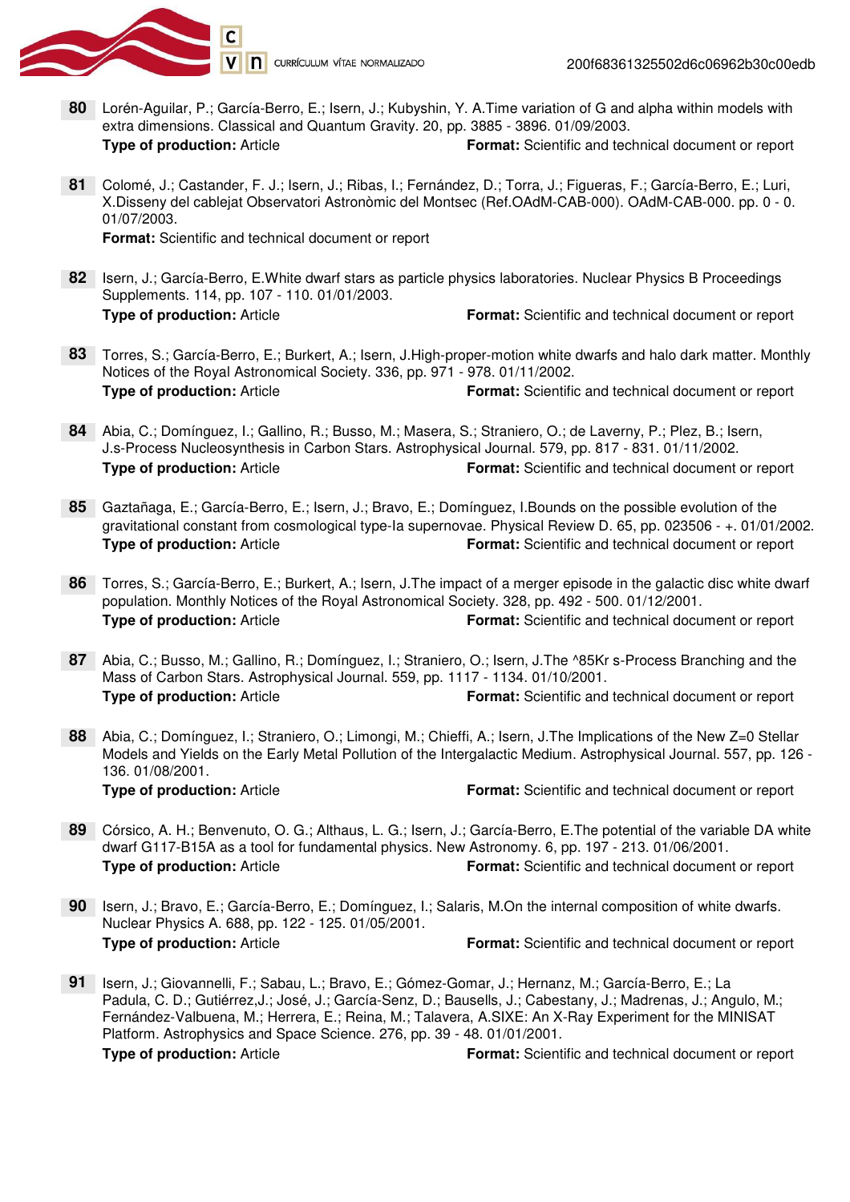

- **80** Lorén-Aguilar, P.; García-Berro, E.; Isern, J.; Kubyshin, Y. A.Time variation of G and alpha within models with extra dimensions. Classical and Quantum Gravity. 20, pp. 3885 - 3896. 01/09/2003. **Type of production:** Article **Format:** Scientific and technical document or report
- Colomé, J.; Castander, F. J.; Isern, J.; Ribas, I.; Fernández, D.; Torra, J.; Figueras, F.; García-Berro, E.; Luri, **81**X.Disseny del cablejat Observatori Astronòmic del Montsec (Ref.OAdM-CAB-000). OAdM-CAB-000. pp. 0 - 0. 01/07/2003.

**Format:** Scientific and technical document or report

- 82 Isern, J.; García-Berro, E. White dwarf stars as particle physics laboratories. Nuclear Physics B Proceedings Supplements. 114, pp. 107 - 110. 01/01/2003. **Type of production:** Article **Format:** Scientific and technical document or report
- Torres, S.; García-Berro, E.; Burkert, A.; Isern, J.High-proper-motion white dwarfs and halo dark matter. Monthly **83** Notices of the Royal Astronomical Society. 336, pp. 971 - 978. 01/11/2002. **Type of production:** Article **Format:** Scientific and technical document or report
- Abia, C.; Domínguez, I.; Gallino, R.; Busso, M.; Masera, S.; Straniero, O.; de Laverny, P.; Plez, B.; Isern, **84** J.s-Process Nucleosynthesis in Carbon Stars. Astrophysical Journal. 579, pp. 817 - 831. 01/11/2002. **Type of production:** Article **Format:** Scientific and technical document or report
- Gaztañaga, E.; García-Berro, E.; Isern, J.; Bravo, E.; Domínguez, I.Bounds on the possible evolution of the **85** gravitational constant from cosmological type-Ia supernovae. Physical Review D. 65, pp. 023506 - +. 01/01/2002. **Type of production:** Article **Format:** Scientific and technical document or report
- Torres, S.; García-Berro, E.; Burkert, A.; Isern, J.The impact of a merger episode in the galactic disc white dwarf **86** population. Monthly Notices of the Royal Astronomical Society. 328, pp. 492 - 500. 01/12/2001. **Type of production:** Article **Format:** Scientific and technical document or report
- Abia, C.; Busso, M.; Gallino, R.; Domínguez, I.; Straniero, O.; Isern, J.The ^85Kr s-Process Branching and the **87** Mass of Carbon Stars. Astrophysical Journal. 559, pp. 1117 - 1134. 01/10/2001. **Type of production:** Article **Format:** Scientific and technical document or report
- Abia, C.; Domínguez, I.; Straniero, O.; Limongi, M.; Chieffi, A.; Isern, J.The Implications of the New Z=0 Stellar **88** Models and Yields on the Early Metal Pollution of the Intergalactic Medium. Astrophysical Journal. 557, pp. 126 - 136. 01/08/2001. **Type of production:** Article **Format:** Scientific and technical document or report
- Córsico, A. H.; Benvenuto, O. G.; Althaus, L. G.; Isern, J.; García-Berro, E.The potential of the variable DA white **89** dwarf G117-B15A as a tool for fundamental physics. New Astronomy. 6, pp. 197 - 213. 01/06/2001. **Type of production:** Article **Format:** Scientific and technical document or report
- 90 Isern, J.; Bravo, E.; García-Berro, E.; Domínguez, I.; Salaris, M.On the internal composition of white dwarfs. Nuclear Physics A. 688, pp. 122 - 125. 01/05/2001. **Type of production:** Article **Format:** Scientific and technical document or report
- 91 | Isern, J.; Giovannelli, F.; Sabau, L.; Bravo, E.; Gómez-Gomar, J.; Hernanz, M.; García-Berro, E.; La Padula, C. D.; Gutiérrez,J.; José, J.; García-Senz, D.; Bausells, J.; Cabestany, J.; Madrenas, J.; Angulo, M.; Fernández-Valbuena, M.; Herrera, E.; Reina, M.; Talavera, A.SIXE: An X-Ray Experiment for the MINISAT Platform. Astrophysics and Space Science. 276, pp. 39 - 48. 01/01/2001. **Type of production:** Article **Format:** Scientific and technical document or report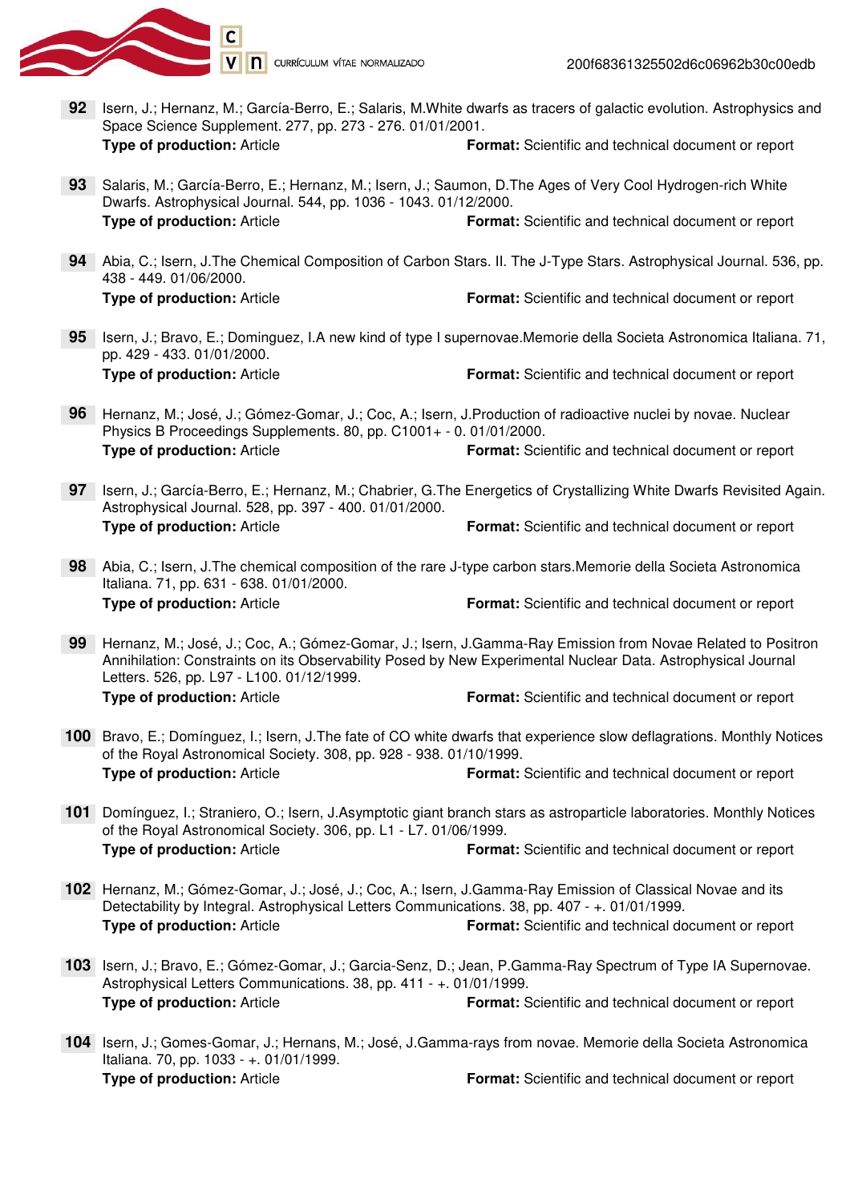

200f68361325502d6c06962b30c00edb

- **92** Isern, J.; Hernanz, M.; García-Berro, E.; Salaris, M.White dwarfs as tracers of galactic evolution. Astrophysics and Space Science Supplement. 277, pp. 273 - 276. 01/01/2001. **Type of production:** Article **Format:** Scientific and technical document or report
- 93 Salaris, M.; García-Berro, E.; Hernanz, M.; Isern, J.; Saumon, D.The Ages of Very Cool Hydrogen-rich White Dwarfs. Astrophysical Journal. 544, pp. 1036 - 1043. 01/12/2000. **Type of production:** Article **Format:** Scientific and technical document or report
- Abia, C.; Isern, J.The Chemical Composition of Carbon Stars. II. The J-Type Stars. Astrophysical Journal. 536, pp. **94** 438 - 449. 01/06/2000. **Type of production:** Article **Format:** Scientific and technical document or report
- 95 | Isern, J.; Bravo, E.; Dominguez, I.A new kind of type I supernovae.Memorie della Societa Astronomica Italiana. 71, pp. 429 - 433. 01/01/2000. **Type of production:** Article **Format:** Scientific and technical document or report
- Hernanz, M.; José, J.; Gómez-Gomar, J.; Coc, A.; Isern, J.Production of radioactive nuclei by novae. Nuclear **96** Physics B Proceedings Supplements. 80, pp. C1001+ - 0. 01/01/2000. **Type of production:** Article **Format:** Scientific and technical document or report
- 97 Isern, J.; García-Berro, E.; Hernanz, M.; Chabrier, G.The Energetics of Crystallizing White Dwarfs Revisited Again. Astrophysical Journal. 528, pp. 397 - 400. 01/01/2000. **Type of production:** Article **Format:** Scientific and technical document or report
- Abia, C.; Isern, J.The chemical composition of the rare J-type carbon stars.Memorie della Societa Astronomica **98** Italiana. 71, pp. 631 - 638. 01/01/2000. **Type of production:** Article **Format:** Scientific and technical document or report
- Hernanz, M.; José, J.; Coc, A.; Gómez-Gomar, J.; Isern, J.Gamma-Ray Emission from Novae Related to Positron **99** Annihilation: Constraints on its Observability Posed by New Experimental Nuclear Data. Astrophysical Journal Letters. 526, pp. L97 - L100. 01/12/1999. **Type of production:** Article **Format:** Scientific and technical document or report
- 100 Bravo, E.; Domínguez, I.; Isern, J. The fate of CO white dwarfs that experience slow deflagrations. Monthly Notices of the Royal Astronomical Society. 308, pp. 928 - 938. 01/10/1999. **Type of production:** Article **Format:** Scientific and technical document or report
- Domínguez, I.; Straniero, O.; Isern, J.Asymptotic giant branch stars as astroparticle laboratories. Monthly Notices **101** of the Royal Astronomical Society. 306, pp. L1 - L7. 01/06/1999. **Type of production:** Article **Format:** Scientific and technical document or report
- Hernanz, M.; Gómez-Gomar, J.; José, J.; Coc, A.; Isern, J.Gamma-Ray Emission of Classical Novae and its **102** Detectability by Integral. Astrophysical Letters Communications. 38, pp. 407 - +. 01/01/1999. **Type of production:** Article **Format:** Scientific and technical document or report
- 103 Isern, J.; Bravo, E.; Gómez-Gomar, J.; Garcia-Senz, D.; Jean, P.Gamma-Ray Spectrum of Type IA Supernovae. Astrophysical Letters Communications. 38, pp. 411 - +. 01/01/1999. **Type of production:** Article **Format:** Scientific and technical document or report
- 104 Isern, J.; Gomes-Gomar, J.; Hernans, M.; José, J.Gamma-rays from novae. Memorie della Societa Astronomica Italiana. 70, pp. 1033 - +. 01/01/1999. **Type of production:** Article **Format:** Scientific and technical document or report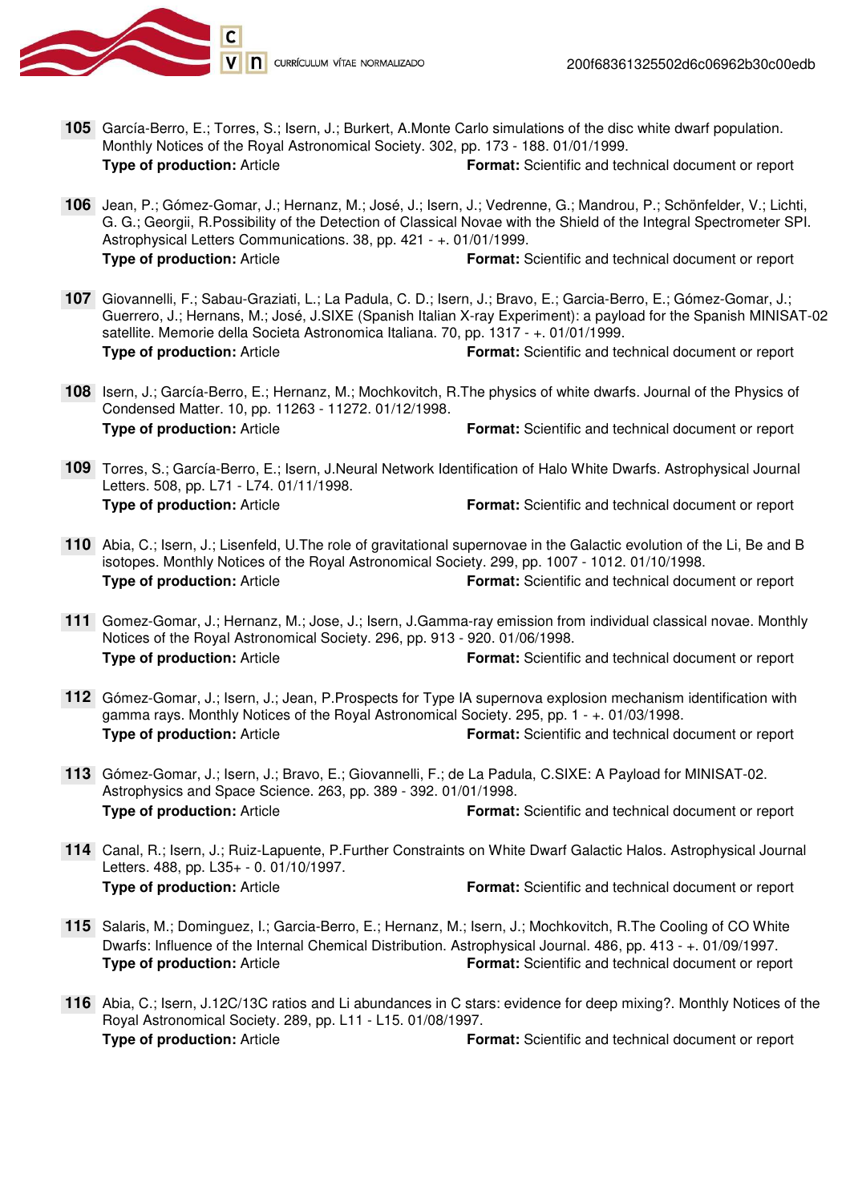

- García-Berro, E.; Torres, S.; Isern, J.; Burkert, A.Monte Carlo simulations of the disc white dwarf population. **105**Monthly Notices of the Royal Astronomical Society. 302, pp. 173 - 188. 01/01/1999. **Type of production:** Article **Format:** Scientific and technical document or report
- Jean, P.; Gómez-Gomar, J.; Hernanz, M.; José, J.; Isern, J.; Vedrenne, G.; Mandrou, P.; Schönfelder, V.; Lichti, **106** G. G.; Georgii, R.Possibility of the Detection of Classical Novae with the Shield of the Integral Spectrometer SPI. Astrophysical Letters Communications. 38, pp. 421 - +. 01/01/1999. **Type of production:** Article **Format:** Scientific and technical document or report
- Giovannelli, F.; Sabau-Graziati, L.; La Padula, C. D.; Isern, J.; Bravo, E.; Garcia-Berro, E.; Gómez-Gomar, J.; **107** Guerrero, J.; Hernans, M.; José, J.SIXE (Spanish Italian X-ray Experiment): a payload for the Spanish MINISAT-02 satellite. Memorie della Societa Astronomica Italiana. 70, pp. 1317 - +. 01/01/1999. **Type of production:** Article **Format:** Scientific and technical document or report
- 108 Isern, J.; García-Berro, E.; Hernanz, M.; Mochkovitch, R.The physics of white dwarfs. Journal of the Physics of Condensed Matter. 10, pp. 11263 - 11272. 01/12/1998. **Type of production:** Article **Format:** Scientific and technical document or report
- Torres, S.; García-Berro, E.; Isern, J.Neural Network Identification of Halo White Dwarfs. Astrophysical Journal **109** Letters. 508, pp. L71 - L74. 01/11/1998. **Type of production:** Article **Format:** Scientific and technical document or report
- Abia, C.; Isern, J.; Lisenfeld, U.The role of gravitational supernovae in the Galactic evolution of the Li, Be and B **110** isotopes. Monthly Notices of the Royal Astronomical Society. 299, pp. 1007 - 1012. 01/10/1998. **Type of production:** Article **Format:** Scientific and technical document or report
- Gomez-Gomar, J.; Hernanz, M.; Jose, J.; Isern, J.Gamma-ray emission from individual classical novae. Monthly **111** Notices of the Royal Astronomical Society. 296, pp. 913 - 920. 01/06/1998. **Type of production:** Article **Format:** Scientific and technical document or report
- Gómez-Gomar, J.; Isern, J.; Jean, P.Prospects for Type IA supernova explosion mechanism identification with **112** gamma rays. Monthly Notices of the Royal Astronomical Society. 295, pp. 1 - +. 01/03/1998. **Type of production:** Article **Format:** Scientific and technical document or report
- Gómez-Gomar, J.; Isern, J.; Bravo, E.; Giovannelli, F.; de La Padula, C.SIXE: A Payload for MINISAT-02. **113** Astrophysics and Space Science. 263, pp. 389 - 392. 01/01/1998. **Type of production:** Article **Format:** Scientific and technical document or report
- Canal, R.; Isern, J.; Ruiz-Lapuente, P.Further Constraints on White Dwarf Galactic Halos. Astrophysical Journal **114** Letters. 488, pp. L35+ - 0. 01/10/1997. **Type of production:** Article **Format:** Scientific and technical document or report
- 115 Salaris, M.; Dominguez, I.; Garcia-Berro, E.; Hernanz, M.; Isern, J.; Mochkovitch, R.The Cooling of CO White Dwarfs: Influence of the Internal Chemical Distribution. Astrophysical Journal. 486, pp. 413 - +. 01/09/1997. **Type of production:** Article **Format:** Scientific and technical document or report
- Abia, C.; Isern, J.12C/13C ratios and Li abundances in C stars: evidence for deep mixing?. Monthly Notices of the **116** Royal Astronomical Society. 289, pp. L11 - L15. 01/08/1997. **Type of production:** Article **Format:** Scientific and technical document or report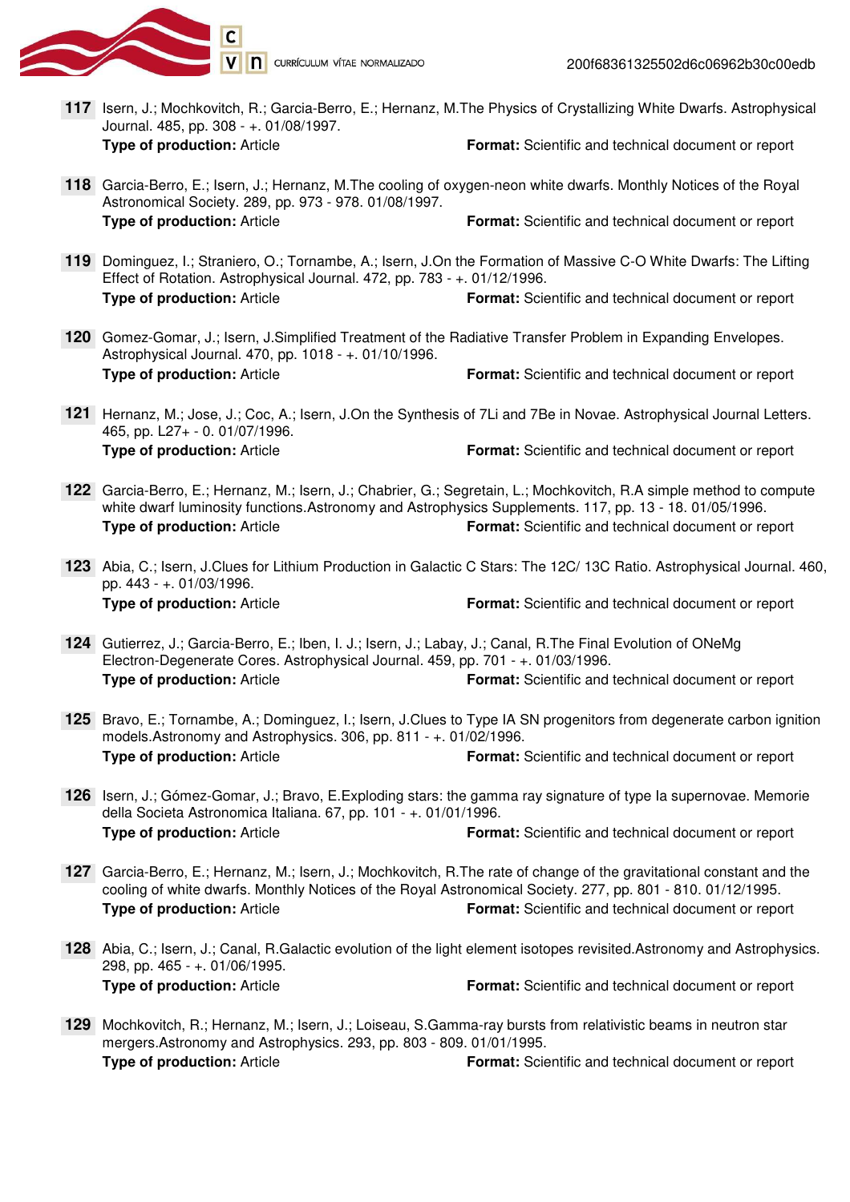

- 117 Isern, J.; Mochkovitch, R.; Garcia-Berro, E.; Hernanz, M.The Physics of Crystallizing White Dwarfs. Astrophysical Journal. 485, pp. 308 - +. 01/08/1997. **Type of production:** Article **Format:** Scientific and technical document or report
- Garcia-Berro, E.; Isern, J.; Hernanz, M.The cooling of oxygen-neon white dwarfs. Monthly Notices of the Royal **118** Astronomical Society. 289, pp. 973 - 978. 01/08/1997. **Type of production:** Article **Format:** Scientific and technical document or report
- Dominguez, I.; Straniero, O.; Tornambe, A.; Isern, J.On the Formation of Massive C-O White Dwarfs: The Lifting **119** Effect of Rotation. Astrophysical Journal. 472, pp. 783 - +. 01/12/1996. **Type of production:** Article **Format:** Scientific and technical document or report
- 120 Gomez-Gomar, J.; Isern, J.Simplified Treatment of the Radiative Transfer Problem in Expanding Envelopes. Astrophysical Journal. 470, pp. 1018 - +. 01/10/1996. **Type of production:** Article **Format:** Scientific and technical document or report
- Hernanz, M.; Jose, J.; Coc, A.; Isern, J.On the Synthesis of 7Li and 7Be in Novae. Astrophysical Journal Letters. **121** 465, pp. L27+ - 0. 01/07/1996. **Type of production:** Article **Format:** Scientific and technical document or report
- Garcia-Berro, E.; Hernanz, M.; Isern, J.; Chabrier, G.; Segretain, L.; Mochkovitch, R.A simple method to compute **122** white dwarf luminosity functions. Astronomy and Astrophysics Supplements. 117, pp. 13 - 18. 01/05/1996. **Type of production:** Article **Format:** Scientific and technical document or report
- Abia, C.; Isern, J.Clues for Lithium Production in Galactic C Stars: The 12C/ 13C Ratio. Astrophysical Journal. 460, **123** pp. 443 - +. 01/03/1996. **Type of production:** Article **Format:** Scientific and technical document or report
- Gutierrez, J.; Garcia-Berro, E.; Iben, I. J.; Isern, J.; Labay, J.; Canal, R.The Final Evolution of ONeMg **124** Electron-Degenerate Cores. Astrophysical Journal. 459, pp. 701 - +. 01/03/1996. **Type of production:** Article **Format:** Scientific and technical document or report
- 125 Bravo, E.; Tornambe, A.; Dominguez, I.; Isern, J.Clues to Type IA SN progenitors from degenerate carbon ignition models.Astronomy and Astrophysics. 306, pp. 811 - +. 01/02/1996. **Type of production:** Article **Format:** Scientific and technical document or report
- 126 Isern, J.; Gómez-Gomar, J.; Bravo, E. Exploding stars: the gamma ray signature of type la supernovae. Memorie della Societa Astronomica Italiana. 67, pp. 101 - +. 01/01/1996. **Type of production:** Article **Format:** Scientific and technical document or report
- Garcia-Berro, E.; Hernanz, M.; Isern, J.; Mochkovitch, R.The rate of change of the gravitational constant and the **127** cooling of white dwarfs. Monthly Notices of the Royal Astronomical Society. 277, pp. 801 - 810. 01/12/1995. **Type of production:** Article **Format:** Scientific and technical document or report
- Abia, C.; Isern, J.; Canal, R.Galactic evolution of the light element isotopes revisited.Astronomy and Astrophysics. **128** 298, pp. 465 - +. 01/06/1995. **Type of production:** Article **Format:** Scientific and technical document or report
- Mochkovitch, R.; Hernanz, M.; Isern, J.; Loiseau, S.Gamma-ray bursts from relativistic beams in neutron star **129** mergers.Astronomy and Astrophysics. 293, pp. 803 - 809. 01/01/1995. **Type of production:** Article **Format:** Scientific and technical document or report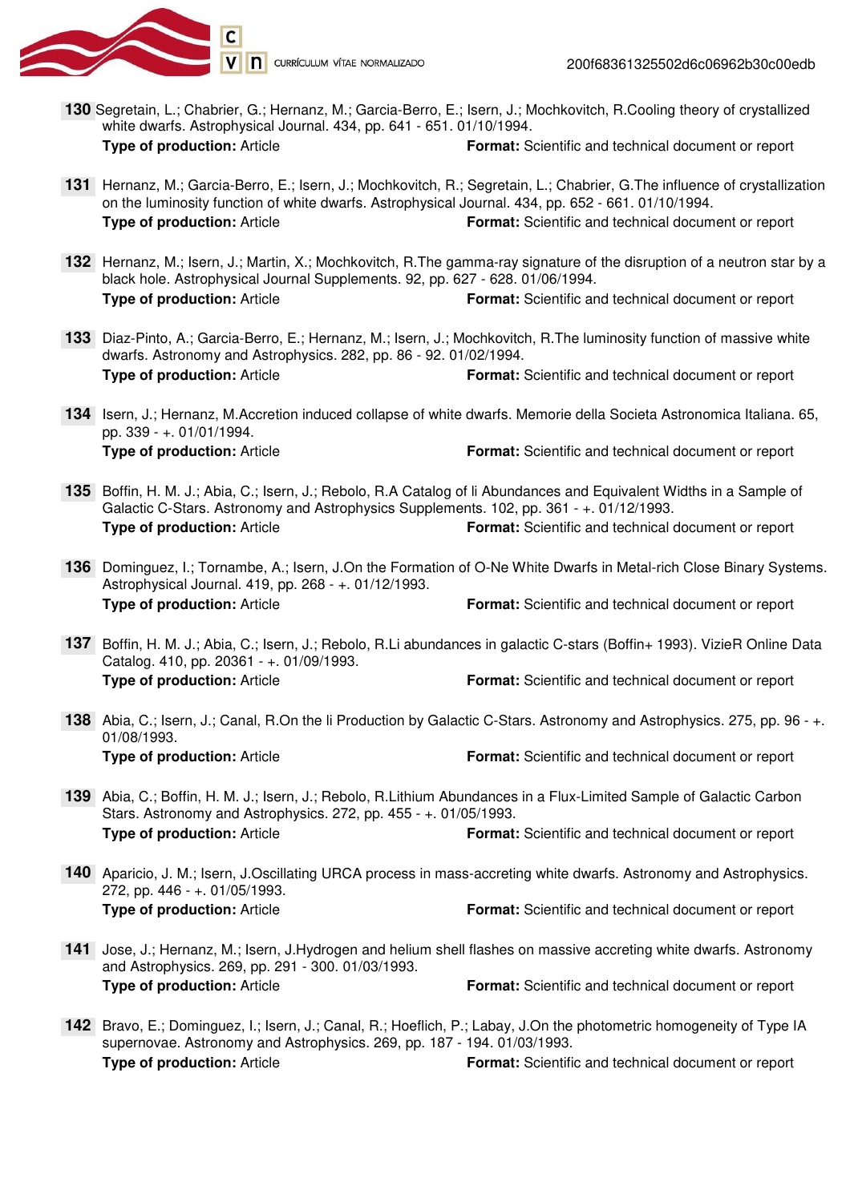

- **130** Segretain, L.; Chabrier, G.; Hernanz, M.; Garcia-Berro, E.; Isern, J.; Mochkovitch, R.Cooling theory of crystallized white dwarfs. Astrophysical Journal. 434, pp. 641 - 651. 01/10/1994. **Type of production:** Article **Format:** Scientific and technical document or report
- 131 Hernanz, M.; Garcia-Berro, E.; Isern, J.; Mochkovitch, R.; Segretain, L.; Chabrier, G.The influence of crystallization on the luminosity function of white dwarfs. Astrophysical Journal. 434, pp. 652 - 661. 01/10/1994. **Type of production:** Article **Format:** Scientific and technical document or report
- 132 Hernanz, M.; Isern, J.; Martin, X.; Mochkovitch, R.The gamma-ray signature of the disruption of a neutron star by a black hole. Astrophysical Journal Supplements. 92, pp. 627 - 628. 01/06/1994. **Type of production:** Article **Format:** Scientific and technical document or report
- Diaz-Pinto, A.; Garcia-Berro, E.; Hernanz, M.; Isern, J.; Mochkovitch, R.The luminosity function of massive white **133** dwarfs. Astronomy and Astrophysics. 282, pp. 86 - 92. 01/02/1994. **Type of production:** Article **Format:** Scientific and technical document or report
- 134 Isern, J.; Hernanz, M.Accretion induced collapse of white dwarfs. Memorie della Societa Astronomica Italiana. 65, pp. 339 - +. 01/01/1994. **Type of production:** Article **Format:** Scientific and technical document or report
- 135 Boffin, H. M. J.; Abia, C.; Isern, J.; Rebolo, R.A Catalog of li Abundances and Equivalent Widths in a Sample of Galactic C-Stars. Astronomy and Astrophysics Supplements. 102, pp. 361 - +. 01/12/1993. **Type of production:** Article **Format:** Scientific and technical document or report
- Dominguez, I.; Tornambe, A.; Isern, J.On the Formation of O-Ne White Dwarfs in Metal-rich Close Binary Systems. **136** Astrophysical Journal. 419, pp. 268 - +. 01/12/1993. **Type of production:** Article **Format:** Scientific and technical document or report
- Boffin, H. M. J.; Abia, C.; Isern, J.; Rebolo, R.Li abundances in galactic C-stars (Boffin+ 1993). VizieR Online Data **137** Catalog. 410, pp. 20361 - +. 01/09/1993. **Type of production:** Article **Format:** Scientific and technical document or report
- Abia, C.; Isern, J.; Canal, R.On the li Production by Galactic C-Stars. Astronomy and Astrophysics. 275, pp. 96 +. **138** 01/08/1993. **Type of production:** Article **Format:** Scientific and technical document or report
- Abia, C.; Boffin, H. M. J.; Isern, J.; Rebolo, R.Lithium Abundances in a Flux-Limited Sample of Galactic Carbon **139** Stars. Astronomy and Astrophysics. 272, pp. 455 - +. 01/05/1993. **Type of production:** Article **Format:** Scientific and technical document or report
- Aparicio, J. M.; Isern, J.Oscillating URCA process in mass-accreting white dwarfs. Astronomy and Astrophysics. **140** 272, pp. 446 - +. 01/05/1993. **Type of production:** Article **Format:** Scientific and technical document or report
- 141 Jose, J.; Hernanz, M.; Isern, J.Hydrogen and helium shell flashes on massive accreting white dwarfs. Astronomy and Astrophysics. 269, pp. 291 - 300. 01/03/1993. **Type of production:** Article **Format:** Scientific and technical document or report
- 142 Bravo, E.; Dominguez, I.; Isern, J.; Canal, R.; Hoeflich, P.; Labay, J.On the photometric homogeneity of Type IA supernovae. Astronomy and Astrophysics. 269, pp. 187 - 194. 01/03/1993. **Type of production:** Article **Format:** Scientific and technical document or report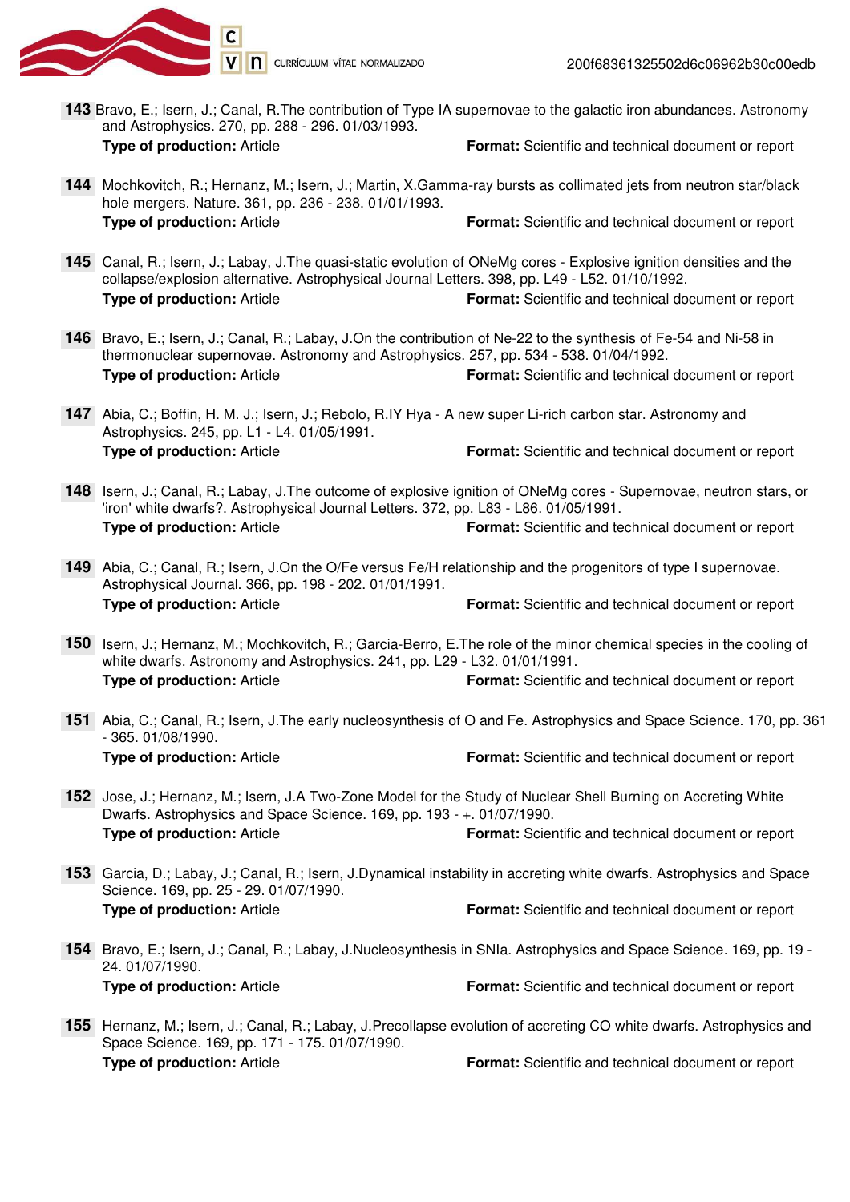

- **143** Bravo, E.; Isern, J.; Canal, R.The contribution of Type IA supernovae to the galactic iron abundances. Astronomy and Astrophysics. 270, pp. 288 - 296. 01/03/1993. **Type of production:** Article **Format:** Scientific and technical document or report
- 144 Mochkovitch, R.; Hernanz, M.; Isern, J.; Martin, X.Gamma-ray bursts as collimated jets from neutron star/black hole mergers. Nature. 361, pp. 236 - 238. 01/01/1993. **Type of production:** Article **Format:** Scientific and technical document or report
- Canal, R.; Isern, J.; Labay, J.The quasi-static evolution of ONeMg cores Explosive ignition densities and the **145** collapse/explosion alternative. Astrophysical Journal Letters. 398, pp. L49 - L52. 01/10/1992. **Type of production:** Article **Format:** Scientific and technical document or report
- 146 Bravo, E.; Isern, J.; Canal, R.; Labay, J.On the contribution of Ne-22 to the synthesis of Fe-54 and Ni-58 in thermonuclear supernovae. Astronomy and Astrophysics. 257, pp. 534 - 538. 01/04/1992. **Type of production:** Article **Format:** Scientific and technical document or report
- Abia, C.; Boffin, H. M. J.; Isern, J.; Rebolo, R.IY Hya A new super Li-rich carbon star. Astronomy and **147** Astrophysics. 245, pp. L1 - L4. 01/05/1991. **Type of production:** Article **Format:** Scientific and technical document or report
- 148 Isern, J.; Canal, R.; Labay, J. The outcome of explosive ignition of ONeMg cores Supernovae, neutron stars, or 'iron' white dwarfs?. Astrophysical Journal Letters. 372, pp. L83 - L86. 01/05/1991. **Type of production:** Article **Format:** Scientific and technical document or report
- Abia, C.; Canal, R.; Isern, J.On the O/Fe versus Fe/H relationship and the progenitors of type I supernovae. **149** Astrophysical Journal. 366, pp. 198 - 202. 01/01/1991. **Type of production:** Article **Format:** Scientific and technical document or report
- 150 Isern, J.; Hernanz, M.; Mochkovitch, R.; Garcia-Berro, E. The role of the minor chemical species in the cooling of white dwarfs. Astronomy and Astrophysics. 241, pp. L29 - L32. 01/01/1991. **Type of production:** Article **Format:** Scientific and technical document or report
- Abia, C.; Canal, R.; Isern, J.The early nucleosynthesis of O and Fe. Astrophysics and Space Science. 170, pp. 361 **151** - 365. 01/08/1990. **Type of production:** Article **Format:** Scientific and technical document or report
- 152 Jose, J.; Hernanz, M.; Isern, J.A Two-Zone Model for the Study of Nuclear Shell Burning on Accreting White Dwarfs. Astrophysics and Space Science. 169, pp. 193 - +. 01/07/1990. **Type of production:** Article **Format:** Scientific and technical document or report
- Garcia, D.; Labay, J.; Canal, R.; Isern, J.Dynamical instability in accreting white dwarfs. Astrophysics and Space **153** Science. 169, pp. 25 - 29. 01/07/1990. **Type of production:** Article **Format:** Scientific and technical document or report
- 154 Bravo, E.; Isern, J.; Canal, R.; Labay, J.Nucleosynthesis in SNIa. Astrophysics and Space Science. 169, pp. 19 -24. 01/07/1990. **Type of production:** Article **Format:** Scientific and technical document or report
- 155 Hernanz, M.; Isern, J.; Canal, R.; Labay, J.Precollapse evolution of accreting CO white dwarfs. Astrophysics and Space Science. 169, pp. 171 - 175. 01/07/1990. **Type of production:** Article **Format:** Scientific and technical document or report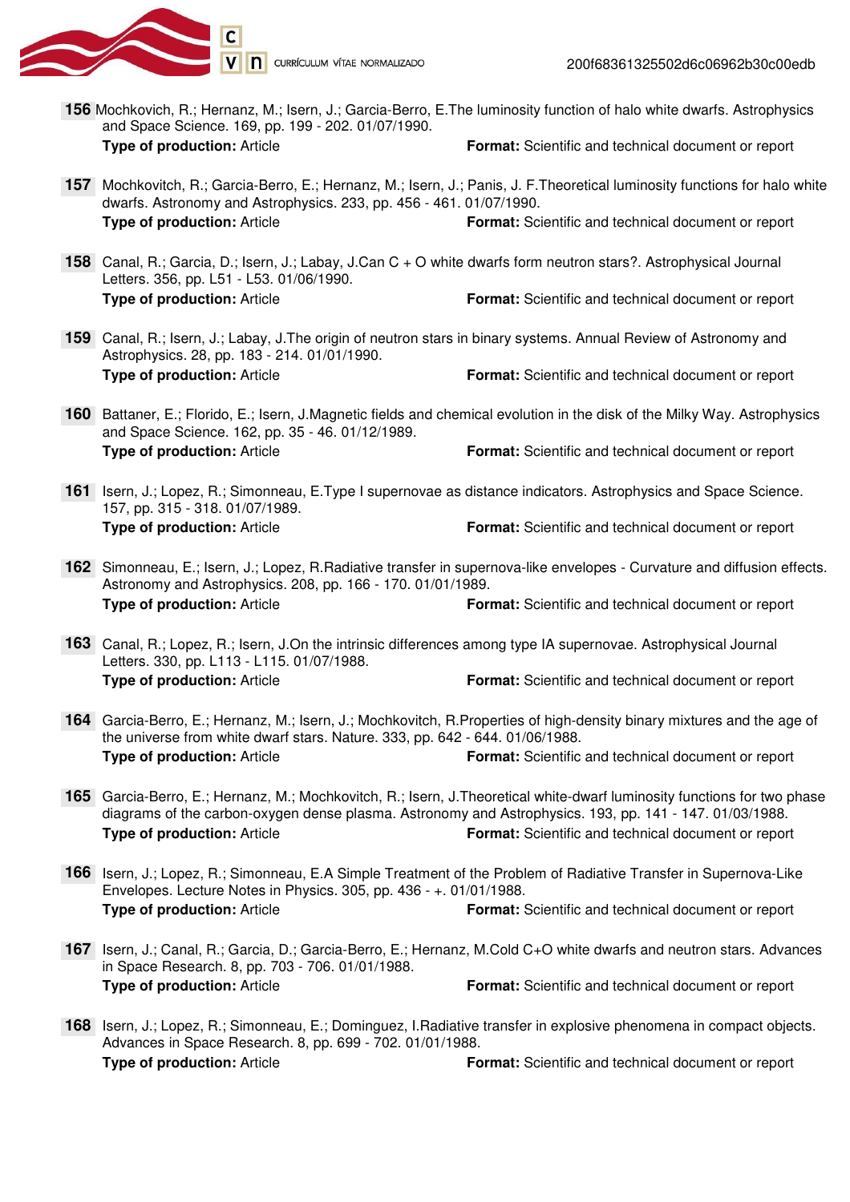

200f68361325502d6c06962b30c00edb

- **156** Mochkovich, R.; Hernanz, M.; Isern, J.; Garcia-Berro, E.The luminosity function of halo white dwarfs. Astrophysics and Space Science. 169, pp. 199 - 202. 01/07/1990. **Type of production:** Article **Format:** Scientific and technical document or report
- Mochkovitch, R.; Garcia-Berro, E.; Hernanz, M.; Isern, J.; Panis, J. F.Theoretical luminosity functions for halo white **157**dwarfs. Astronomy and Astrophysics. 233, pp. 456 - 461. 01/07/1990. **Type of production:** Article **Format:** Scientific and technical document or report
- Canal, R.; Garcia, D.; Isern, J.; Labay, J.Can C + O white dwarfs form neutron stars?. Astrophysical Journal **158** Letters. 356, pp. L51 - L53. 01/06/1990. **Type of production:** Article **Format:** Scientific and technical document or report
- Canal, R.; Isern, J.; Labay, J.The origin of neutron stars in binary systems. Annual Review of Astronomy and **159** Astrophysics. 28, pp. 183 - 214. 01/01/1990. **Type of production:** Article **Format:** Scientific and technical document or report
- 160 Battaner, E.; Florido, E.; Isern, J.Magnetic fields and chemical evolution in the disk of the Milky Way. Astrophysics and Space Science. 162, pp. 35 - 46. 01/12/1989. **Type of production:** Article **Format:** Scientific and technical document or report
- 161 Isern, J.; Lopez, R.; Simonneau, E.Type I supernovae as distance indicators. Astrophysics and Space Science. 157, pp. 315 - 318. 01/07/1989. **Type of production:** Article **Format:** Scientific and technical document or report
- 162 Simonneau, E.; Isern, J.; Lopez, R.Radiative transfer in supernova-like envelopes Curvature and diffusion effects. Astronomy and Astrophysics. 208, pp. 166 - 170. 01/01/1989. **Type of production:** Article **Format:** Scientific and technical document or report
- Canal, R.; Lopez, R.; Isern, J.On the intrinsic differences among type IA supernovae. Astrophysical Journal **163** Letters. 330, pp. L113 - L115. 01/07/1988. **Type of production:** Article **Format:** Scientific and technical document or report
- Garcia-Berro, E.; Hernanz, M.; Isern, J.; Mochkovitch, R.Properties of high-density binary mixtures and the age of **164** the universe from white dwarf stars. Nature. 333, pp. 642 - 644. 01/06/1988. **Type of production:** Article **Format:** Scientific and technical document or report
- Garcia-Berro, E.; Hernanz, M.; Mochkovitch, R.; Isern, J.Theoretical white-dwarf luminosity functions for two phase **165** diagrams of the carbon-oxygen dense plasma. Astronomy and Astrophysics. 193, pp. 141 - 147. 01/03/1988. **Type of production:** Article **Format:** Scientific and technical document or report
- 166 Isern, J.; Lopez, R.; Simonneau, E.A Simple Treatment of the Problem of Radiative Transfer in Supernova-Like Envelopes. Lecture Notes in Physics. 305, pp. 436 - +. 01/01/1988. **Type of production:** Article **Format:** Scientific and technical document or report
- 167 Isern, J.; Canal, R.; Garcia, D.; Garcia-Berro, E.; Hernanz, M.Cold C+O white dwarfs and neutron stars. Advances in Space Research. 8, pp. 703 - 706. 01/01/1988. **Type of production:** Article **Format:** Scientific and technical document or report
- 168 Isern, J.; Lopez, R.; Simonneau, E.; Dominguez, I.Radiative transfer in explosive phenomena in compact objects. Advances in Space Research. 8, pp. 699 - 702. 01/01/1988. **Type of production:** Article **Format:** Scientific and technical document or report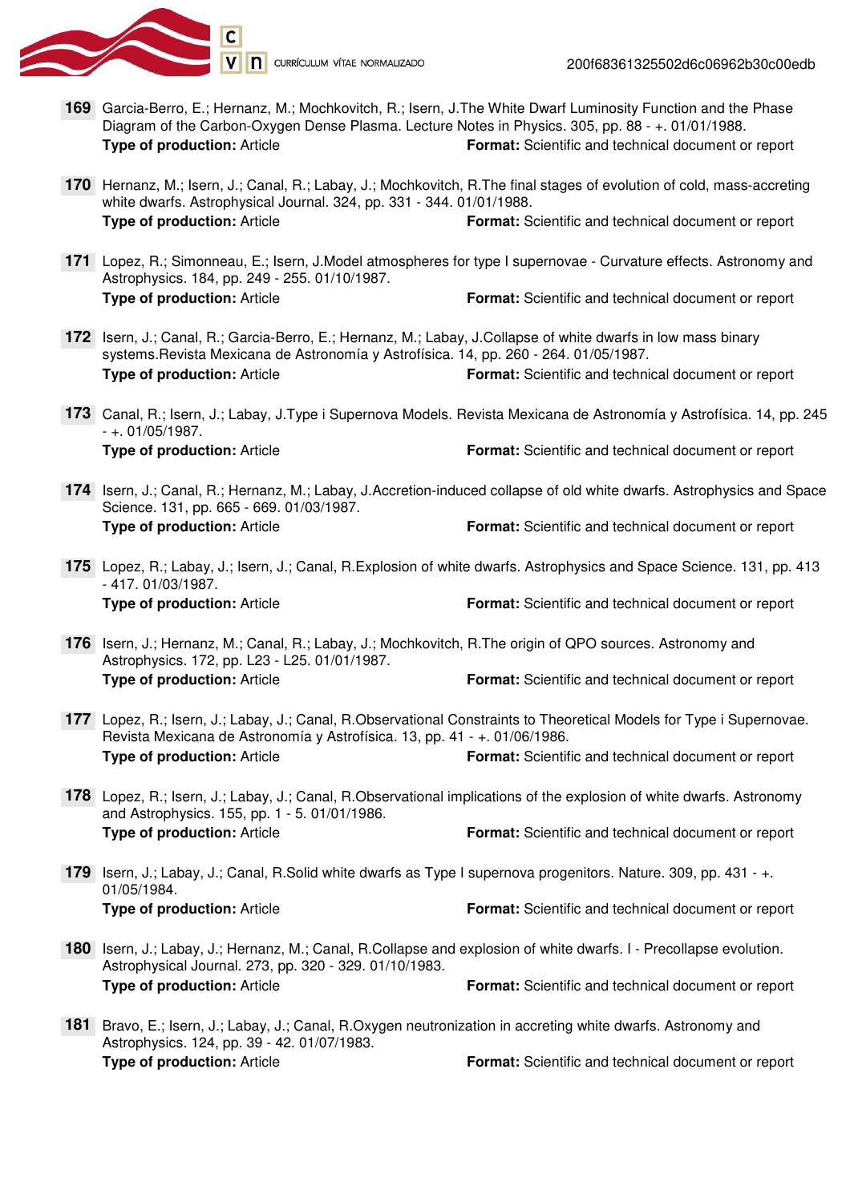

- **169** Garcia-Berro, E.; Hernanz, M.; Mochkovitch, R.; Isern, J.The White Dwarf Luminosity Function and the Phase Diagram of the Carbon-Oxygen Dense Plasma. Lecture Notes in Physics. 305, pp. 88 - +. 01/01/1988. **Type of production:** Article **Format:** Scientific and technical document or report
- 170 Hernanz, M.; Isern, J.; Canal, R.; Labay, J.; Mochkovitch, R.The final stages of evolution of cold, mass-accreting white dwarfs. Astrophysical Journal. 324, pp. 331 - 344. 01/01/1988. **Type of production:** Article **Format:** Scientific and technical document or report
- Lopez, R.; Simonneau, E.; Isern, J.Model atmospheres for type I supernovae Curvature effects. Astronomy and **171** Astrophysics. 184, pp. 249 - 255. 01/10/1987. **Type of production:** Article **Format:** Scientific and technical document or report
- 172 Isern, J.; Canal, R.; Garcia-Berro, E.; Hernanz, M.; Labay, J.Collapse of white dwarfs in low mass binary systems.Revista Mexicana de Astronomía y Astrofísica. 14, pp. 260 - 264. 01/05/1987. **Type of production:** Article **Format:** Scientific and technical document or report
- Canal, R.; Isern, J.; Labay, J.Type i Supernova Models. Revista Mexicana de Astronomía y Astrofísica. 14, pp. 245 **173** - +. 01/05/1987. **Type of production:** Article **Format:** Scientific and technical document or report
- 174 Isern, J.; Canal, R.; Hernanz, M.; Labay, J.Accretion-induced collapse of old white dwarfs. Astrophysics and Space Science. 131, pp. 665 - 669. 01/03/1987. **Type of production:** Article **Format:** Scientific and technical document or report
- Lopez, R.; Labay, J.; Isern, J.; Canal, R.Explosion of white dwarfs. Astrophysics and Space Science. 131, pp. 413 **175** - 417. 01/03/1987. **Type of production:** Article **Format:** Scientific and technical document or report
- 176 Isern, J.; Hernanz, M.; Canal, R.; Labay, J.; Mochkovitch, R.The origin of QPO sources. Astronomy and Astrophysics. 172, pp. L23 - L25. 01/01/1987. **Type of production:** Article **Format:** Scientific and technical document or report
- Lopez, R.; Isern, J.; Labay, J.; Canal, R.Observational Constraints to Theoretical Models for Type i Supernovae. **177** Revista Mexicana de Astronomía y Astrofísica. 13, pp. 41 - +. 01/06/1986. **Type of production:** Article **Format:** Scientific and technical document or report
- Lopez, R.; Isern, J.; Labay, J.; Canal, R.Observational implications of the explosion of white dwarfs. Astronomy **178** and Astrophysics. 155, pp. 1 - 5. 01/01/1986. **Type of production:** Article **Format:** Scientific and technical document or report
- 179 Isern, J.; Labay, J.; Canal, R.Solid white dwarfs as Type I supernova progenitors. Nature. 309, pp. 431 +. 01/05/1984. **Type of production:** Article **Format:** Scientific and technical document or report
- 180 Isern, J.; Labay, J.; Hernanz, M.; Canal, R.Collapse and explosion of white dwarfs. I Precollapse evolution. Astrophysical Journal. 273, pp. 320 - 329. 01/10/1983. **Type of production:** Article **Format:** Scientific and technical document or report
- 181 Bravo, E.; Isern, J.; Labay, J.; Canal, R.Oxygen neutronization in accreting white dwarfs. Astronomy and Astrophysics. 124, pp. 39 - 42. 01/07/1983. **Type of production:** Article **Format:** Scientific and technical document or report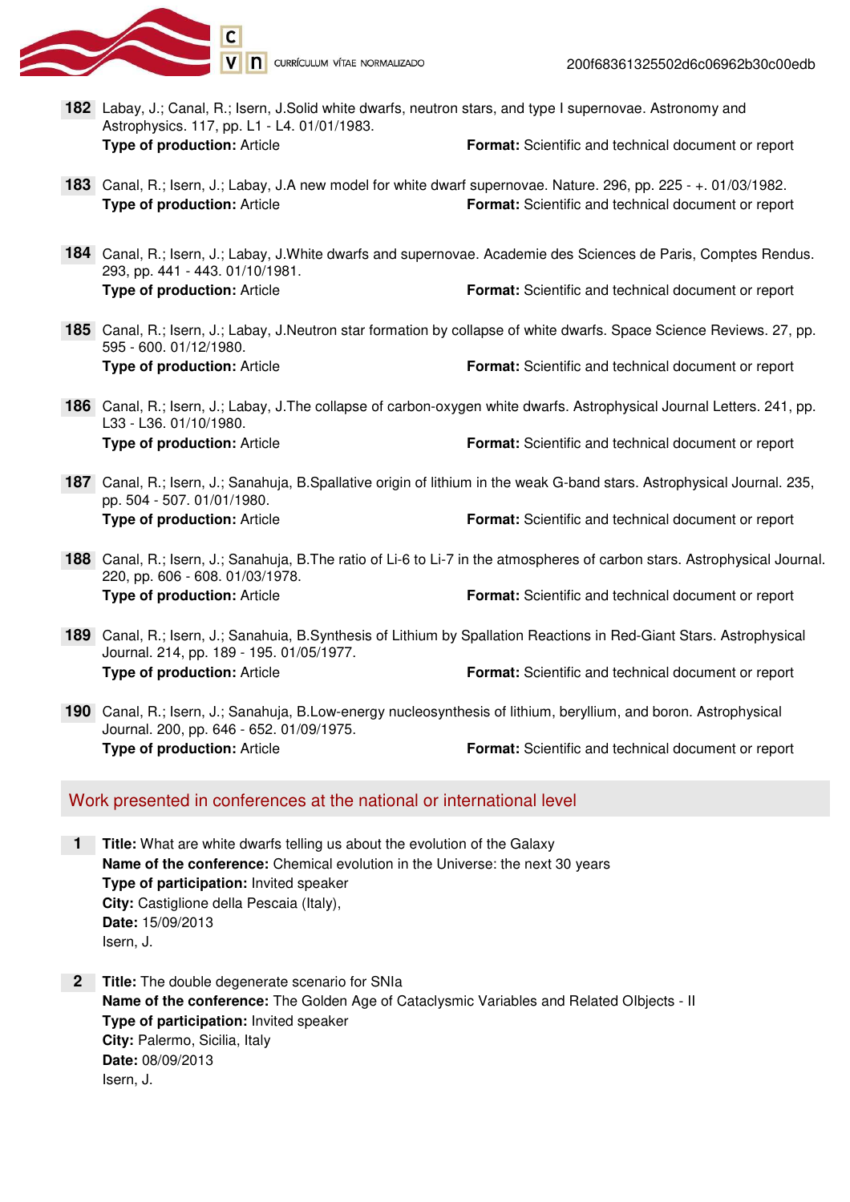

- Labay, J.; Canal, R.; Isern, J.Solid white dwarfs, neutron stars, and type I supernovae. Astronomy and **182**Astrophysics. 117, pp. L1 - L4. 01/01/1983. **Type of production:** Article **Format:** Scientific and technical document or report
- Canal, R.; Isern, J.; Labay, J.A new model for white dwarf supernovae. Nature. 296, pp. 225 +. 01/03/1982. **183 Type of production:** Article **Format:** Scientific and technical document or report
- Canal, R.; Isern, J.; Labay, J.White dwarfs and supernovae. Academie des Sciences de Paris, Comptes Rendus. **184** 293, pp. 441 - 443. 01/10/1981. **Type of production:** Article **Format:** Scientific and technical document or report
- Canal, R.; Isern, J.; Labay, J.Neutron star formation by collapse of white dwarfs. Space Science Reviews. 27, pp. **185** 595 - 600. 01/12/1980. **Type of production:** Article **Format:** Scientific and technical document or report
- Canal, R.; Isern, J.; Labay, J.The collapse of carbon-oxygen white dwarfs. Astrophysical Journal Letters. 241, pp. **186** L33 - L36. 01/10/1980. **Type of production:** Article **Format:** Scientific and technical document or report
- Canal, R.; Isern, J.; Sanahuja, B.Spallative origin of lithium in the weak G-band stars. Astrophysical Journal. 235, **187** pp. 504 - 507. 01/01/1980. **Type of production:** Article **Format:** Scientific and technical document or report
- Canal, R.; Isern, J.; Sanahuja, B.The ratio of Li-6 to Li-7 in the atmospheres of carbon stars. Astrophysical Journal. **188** 220, pp. 606 - 608. 01/03/1978. **Type of production:** Article **Format:** Scientific and technical document or report
- Canal, R.; Isern, J.; Sanahuia, B.Synthesis of Lithium by Spallation Reactions in Red-Giant Stars. Astrophysical **189** Journal. 214, pp. 189 - 195. 01/05/1977. **Type of production:** Article **Format:** Scientific and technical document or report
- Canal, R.; Isern, J.; Sanahuja, B.Low-energy nucleosynthesis of lithium, beryllium, and boron. Astrophysical **190** Journal. 200, pp. 646 - 652. 01/09/1975. **Type of production:** Article **Format:** Scientific and technical document or report

## Work presented in conferences at the national or international level

- **Title:** What are white dwarfs telling us about the evolution of the Galaxy **1 Name of the conference:** Chemical evolution in the Universe: the next 30 years **Type of participation:** Invited speaker **City:** Castiglione della Pescaia (Italy), **Date:** 15/09/2013 Isern, J.
- **Title:** The double degenerate scenario for SNIa **2 Name of the conference:** The Golden Age of Cataclysmic Variables and Related OIbjects - II **Type of participation:** Invited speaker **City:** Palermo, Sicilia, Italy **Date:** 08/09/2013 Isern, J.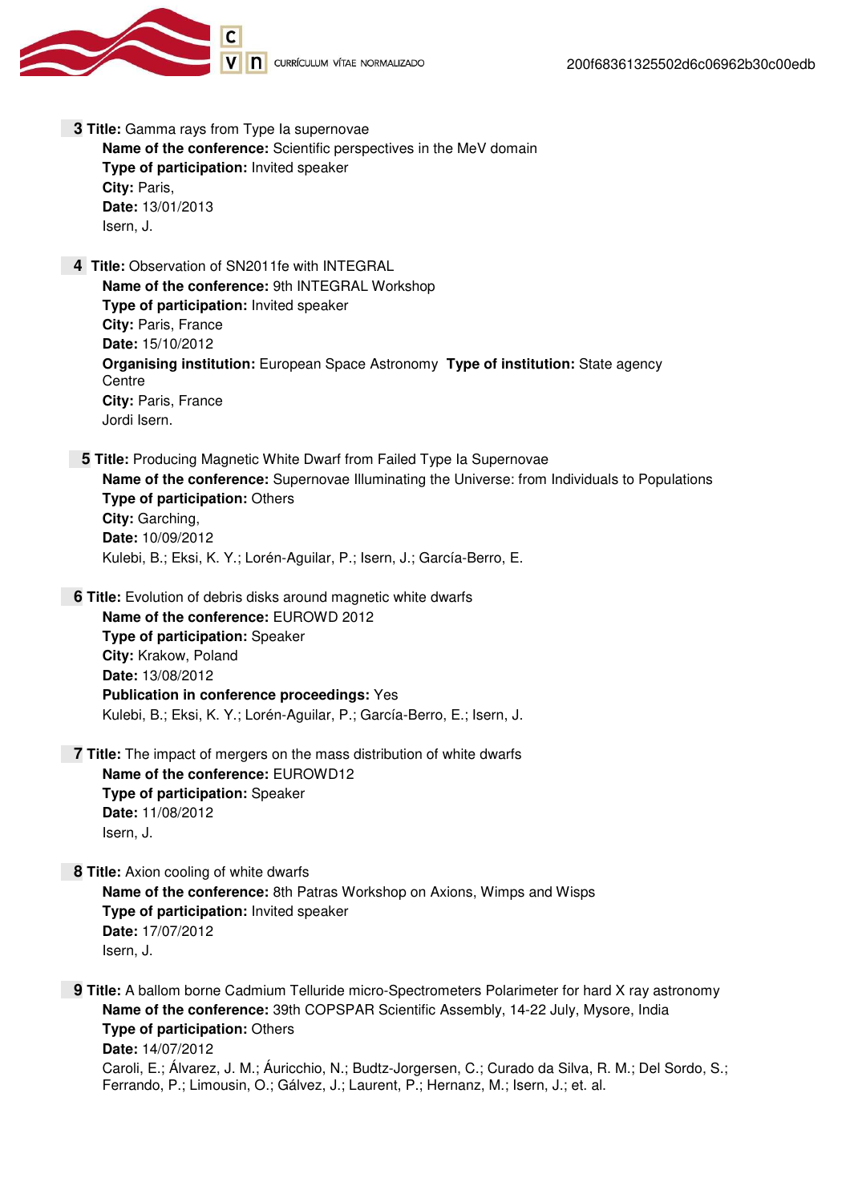

 **3 Title:** Gamma rays from Type Ia supernovae **Name of the conference:** Scientific perspectives in the MeV domain

**Type of participation:** Invited speaker **City:** Paris, **Date:** 13/01/2013 Isern, J.

 **4 Title:** Observation of SN2011fe with INTEGRAL **Name of the conference:** 9th INTEGRAL Workshop **Type of participation:** Invited speaker **City:** Paris, France **Date:** 15/10/2012 **Organising institution:** European Space Astronomy **Type of institution:** State agency **Centre City:** Paris, France Jordi Isern.

 **5 Title:** Producing Magnetic White Dwarf from Failed Type Ia Supernovae **Name of the conference:** Supernovae Illuminating the Universe: from Individuals to Populations **Type of participation:** Others **City:** Garching, **Date:** 10/09/2012 Kulebi, B.; Eksi, K. Y.; Lorén-Aguilar, P.; Isern, J.; García-Berro, E.

 **6 Title:** Evolution of debris disks around magnetic white dwarfs **Name of the conference:** EUROWD 2012 **Type of participation:** Speaker **City:** Krakow, Poland **Date:** 13/08/2012 **Publication in conference proceedings:** Yes Kulebi, B.; Eksi, K. Y.; Lorén-Aguilar, P.; García-Berro, E.; Isern, J.

 **7 Title:** The impact of mergers on the mass distribution of white dwarfs **Name of the conference:** EUROWD12 **Type of participation:** Speaker **Date:** 11/08/2012 Isern, J.

 **8 Title:** Axion cooling of white dwarfs **Name of the conference:** 8th Patras Workshop on Axions, Wimps and Wisps **Type of participation:** Invited speaker **Date:** 17/07/2012 Isern, J.

**9 Title:** A ballom borne Cadmium Telluride micro-Spectrometers Polarimeter for hard X ray astronomy **Name of the conference:** 39th COPSPAR Scientific Assembly, 14-22 July, Mysore, India **Type of participation:** Others **Date:** 14/07/2012 Caroli, E.; Álvarez, J. M.; Áuricchio, N.; Budtz-Jorgersen, C.; Curado da Silva, R. M.; Del Sordo, S.; Ferrando, P.; Limousin, O.; Gálvez, J.; Laurent, P.; Hernanz, M.; Isern, J.; et. al.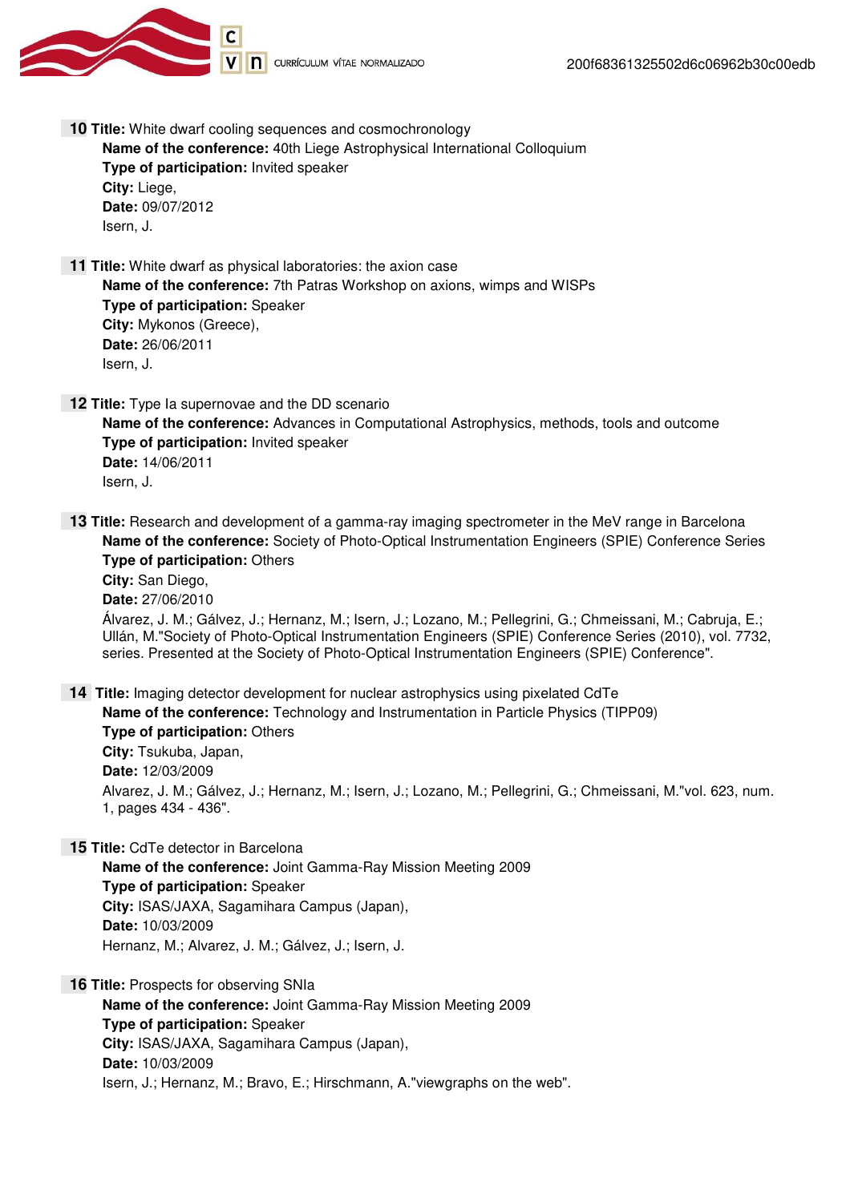



 **10 Title:** White dwarf cooling sequences and cosmochronology

**Name of the conference:** 40th Liege Astrophysical International Colloquium **Type of participation:** Invited speaker **City:** Liege, **Date:** 09/07/2012 Isern, J.

 **11 Title:** White dwarf as physical laboratories: the axion case **Name of the conference:** 7th Patras Workshop on axions, wimps and WISPs **Type of participation:** Speaker **City:** Mykonos (Greece), **Date:** 26/06/2011 Isern, J.

**12 Title:** Type Ia supernovae and the DD scenario **Name of the conference:** Advances in Computational Astrophysics, methods, tools and outcome **Type of participation:** Invited speaker **Date:** 14/06/2011 Isern, J.

**13 Title:** Research and development of a gamma-ray imaging spectrometer in the MeV range in Barcelona **Name of the conference:** Society of Photo-Optical Instrumentation Engineers (SPIE) Conference Series **Type of participation:** Others

**City:** San Diego, **Date:** 27/06/2010 Álvarez, J. M.; Gálvez, J.; Hernanz, M.; Isern, J.; Lozano, M.; Pellegrini, G.; Chmeissani, M.; Cabruja, E.; Ullán, M."Society of Photo-Optical Instrumentation Engineers (SPIE) Conference Series (2010), vol. 7732, series. Presented at the Society of Photo-Optical Instrumentation Engineers (SPIE) Conference".

 **14 Title:** Imaging detector development for nuclear astrophysics using pixelated CdTe **Name of the conference:** Technology and Instrumentation in Particle Physics (TIPP09) **Type of participation:** Others **City:** Tsukuba, Japan, **Date:** 12/03/2009 Alvarez, J. M.; Gálvez, J.; Hernanz, M.; Isern, J.; Lozano, M.; Pellegrini, G.; Chmeissani, M."vol. 623, num. 1, pages 434 - 436".

 **15 Title:** CdTe detector in Barcelona

**Name of the conference:** Joint Gamma-Ray Mission Meeting 2009 **Type of participation:** Speaker **City:** ISAS/JAXA, Sagamihara Campus (Japan), **Date:** 10/03/2009 Hernanz, M.; Alvarez, J. M.; Gálvez, J.; Isern, J.

 **16 Title:** Prospects for observing SNIa

**Name of the conference:** Joint Gamma-Ray Mission Meeting 2009 **Type of participation:** Speaker **City:** ISAS/JAXA, Sagamihara Campus (Japan), **Date:** 10/03/2009 Isern, J.; Hernanz, M.; Bravo, E.; Hirschmann, A."viewgraphs on the web".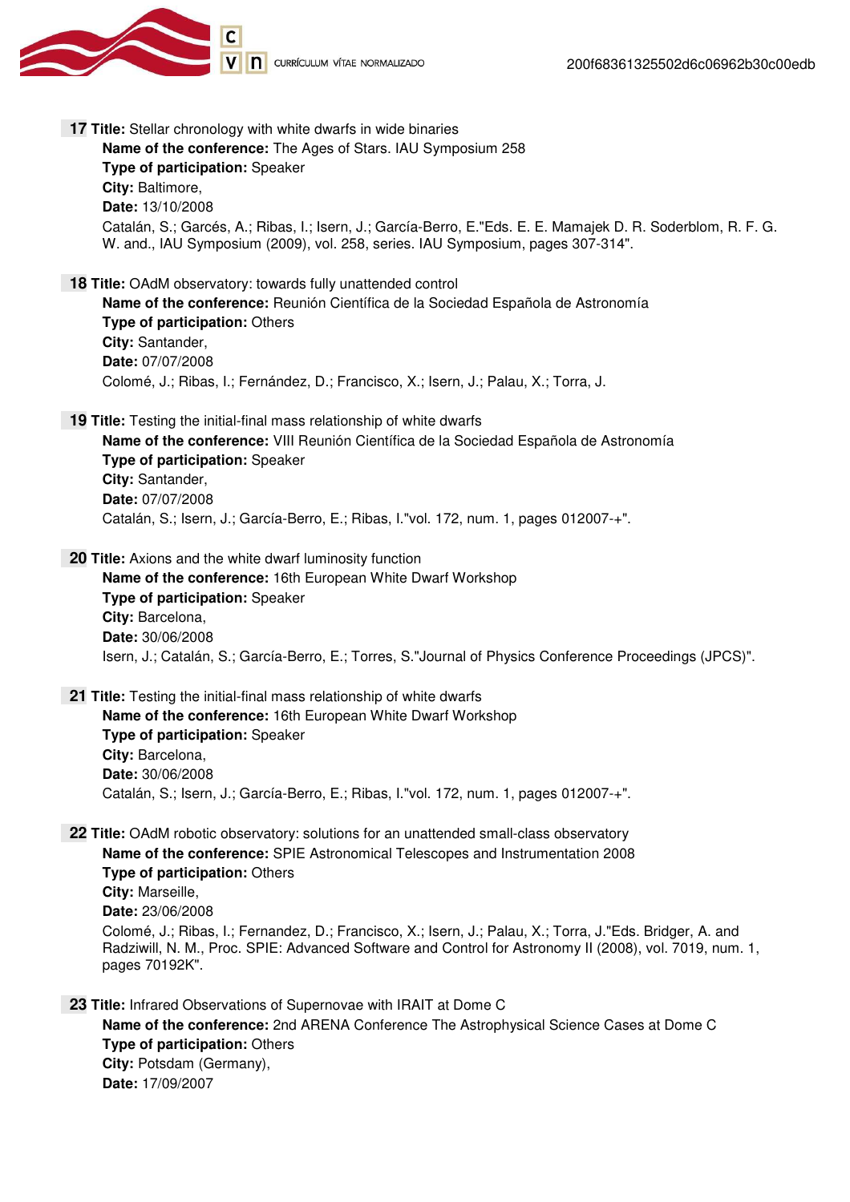

 **17 Title:** Stellar chronology with white dwarfs in wide binaries **Name of the conference:** The Ages of Stars. IAU Symposium 258 **Type of participation:** Speaker **City:** Baltimore, **Date:** 13/10/2008 Catalán, S.; Garcés, A.; Ribas, I.; Isern, J.; García-Berro, E."Eds. E. E. Mamajek D. R. Soderblom, R. F. G. W. and., IAU Symposium (2009), vol. 258, series. IAU Symposium, pages 307-314".  **18 Title:** OAdM observatory: towards fully unattended control **Name of the conference:** Reunión Científica de la Sociedad Española de Astronomía **Type of participation:** Others **City:** Santander, **Date:** 07/07/2008 Colomé, J.; Ribas, I.; Fernández, D.; Francisco, X.; Isern, J.; Palau, X.; Torra, J. **19 Title:** Testing the initial-final mass relationship of white dwarfs **Name of the conference:** VIII Reunión Científica de la Sociedad Española de Astronomía **Type of participation:** Speaker **City:** Santander, **Date:** 07/07/2008 Catalán, S.; Isern, J.; García-Berro, E.; Ribas, I."vol. 172, num. 1, pages 012007-+".  **20 Title:** Axions and the white dwarf luminosity function **Name of the conference:** 16th European White Dwarf Workshop **Type of participation:** Speaker **City:** Barcelona, **Date:** 30/06/2008 Isern, J.; Catalán, S.; García-Berro, E.; Torres, S."Journal of Physics Conference Proceedings (JPCS)".  **21 Title:** Testing the initial-final mass relationship of white dwarfs **Name of the conference:** 16th European White Dwarf Workshop **Type of participation:** Speaker **City:** Barcelona, **Date:** 30/06/2008 Catalán, S.; Isern, J.; García-Berro, E.; Ribas, I."vol. 172, num. 1, pages 012007-+".  **22 Title:** OAdM robotic observatory: solutions for an unattended small-class observatory **Name of the conference:** SPIE Astronomical Telescopes and Instrumentation 2008 **Type of participation:** Others **City:** Marseille, **Date:** 23/06/2008 Colomé, J.; Ribas, I.; Fernandez, D.; Francisco, X.; Isern, J.; Palau, X.; Torra, J."Eds. Bridger, A. and Radziwill, N. M., Proc. SPIE: Advanced Software and Control for Astronomy II (2008), vol. 7019, num. 1, pages 70192K".  **23 Title:** Infrared Observations of Supernovae with IRAIT at Dome C **Name of the conference:** 2nd ARENA Conference The Astrophysical Science Cases at Dome C **Type of participation:** Others **City:** Potsdam (Germany), **Date:** 17/09/2007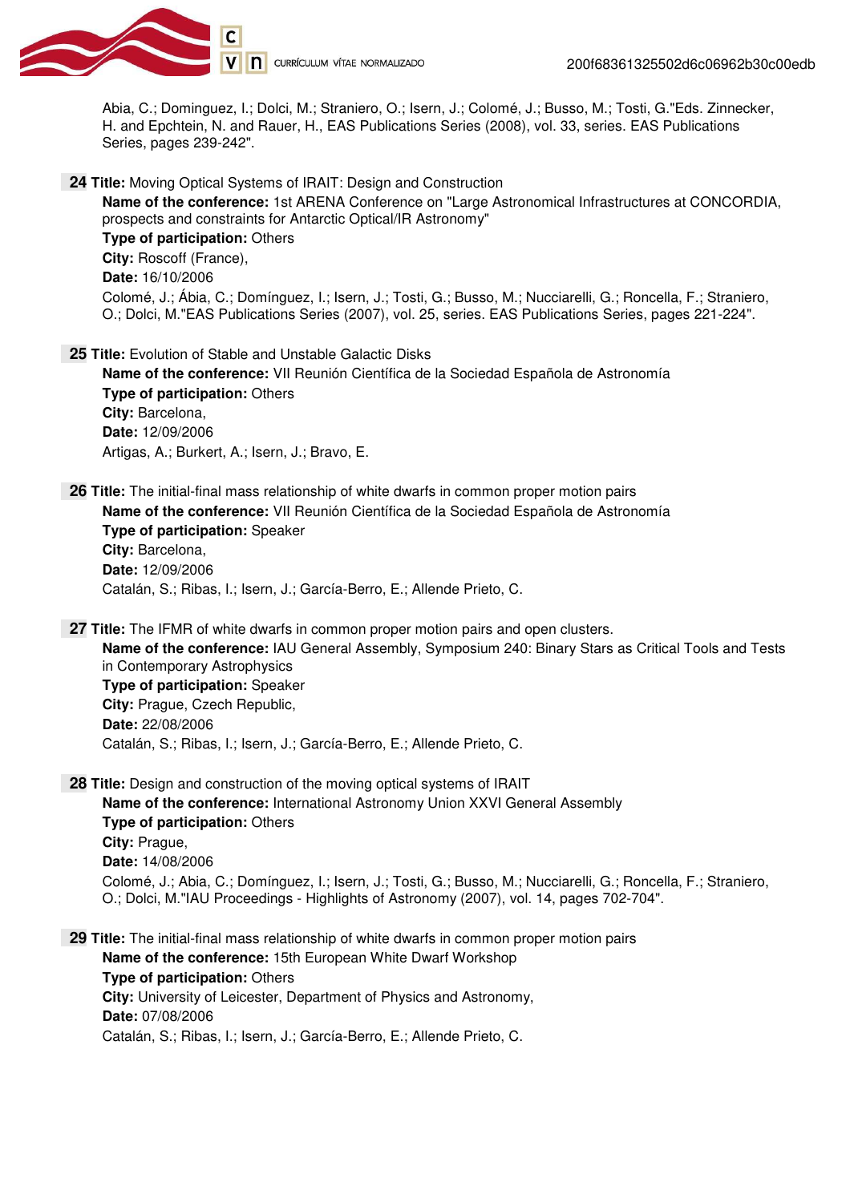

Abia, C.; Dominguez, I.; Dolci, M.; Straniero, O.; Isern, J.; Colomé, J.; Busso, M.; Tosti, G."Eds. Zinnecker, H. and Epchtein, N. and Rauer, H., EAS Publications Series (2008), vol. 33, series. EAS Publications Series, pages 239-242".

 **24 Title:** Moving Optical Systems of IRAIT: Design and Construction

**Name of the conference:** 1st ARENA Conference on "Large Astronomical Infrastructures at CONCORDIA, prospects and constraints for Antarctic Optical/IR Astronomy" **Type of participation:** Others **City:** Roscoff (France), **Date:** 16/10/2006 Colomé, J.; Ábia, C.; Domínguez, I.; Isern, J.; Tosti, G.; Busso, M.; Nucciarelli, G.; Roncella, F.; Straniero, O.; Dolci, M."EAS Publications Series (2007), vol. 25, series. EAS Publications Series, pages 221-224".

 **25 Title:** Evolution of Stable and Unstable Galactic Disks **Name of the conference:** VII Reunión Científica de la Sociedad Española de Astronomía **Type of participation:** Others **City:** Barcelona, **Date:** 12/09/2006

Artigas, A.; Burkert, A.; Isern, J.; Bravo, E.

 **26 Title:** The initial-final mass relationship of white dwarfs in common proper motion pairs **Name of the conference:** VII Reunión Científica de la Sociedad Española de Astronomía **Type of participation:** Speaker **City:** Barcelona, **Date:** 12/09/2006 Catalán, S.; Ribas, I.; Isern, J.; García-Berro, E.; Allende Prieto, C.

 **27 Title:** The IFMR of white dwarfs in common proper motion pairs and open clusters. **Name of the conference:** IAU General Assembly, Symposium 240: Binary Stars as Critical Tools and Tests in Contemporary Astrophysics **Type of participation:** Speaker **City:** Prague, Czech Republic, **Date:** 22/08/2006 Catalán, S.; Ribas, I.; Isern, J.; García-Berro, E.; Allende Prieto, C.

**28 Title:** Design and construction of the moving optical systems of IRAIT **Name of the conference:** International Astronomy Union XXVI General Assembly **Type of participation:** Others **City:** Prague, **Date:** 14/08/2006 Colomé, J.; Abia, C.; Domínguez, I.; Isern, J.; Tosti, G.; Busso, M.; Nucciarelli, G.; Roncella, F.; Straniero, O.; Dolci, M."IAU Proceedings - Highlights of Astronomy (2007), vol. 14, pages 702-704".

 **29 Title:** The initial-final mass relationship of white dwarfs in common proper motion pairs **Name of the conference:** 15th European White Dwarf Workshop **Type of participation:** Others **City:** University of Leicester, Department of Physics and Astronomy, **Date:** 07/08/2006 Catalán, S.; Ribas, I.; Isern, J.; García-Berro, E.; Allende Prieto, C.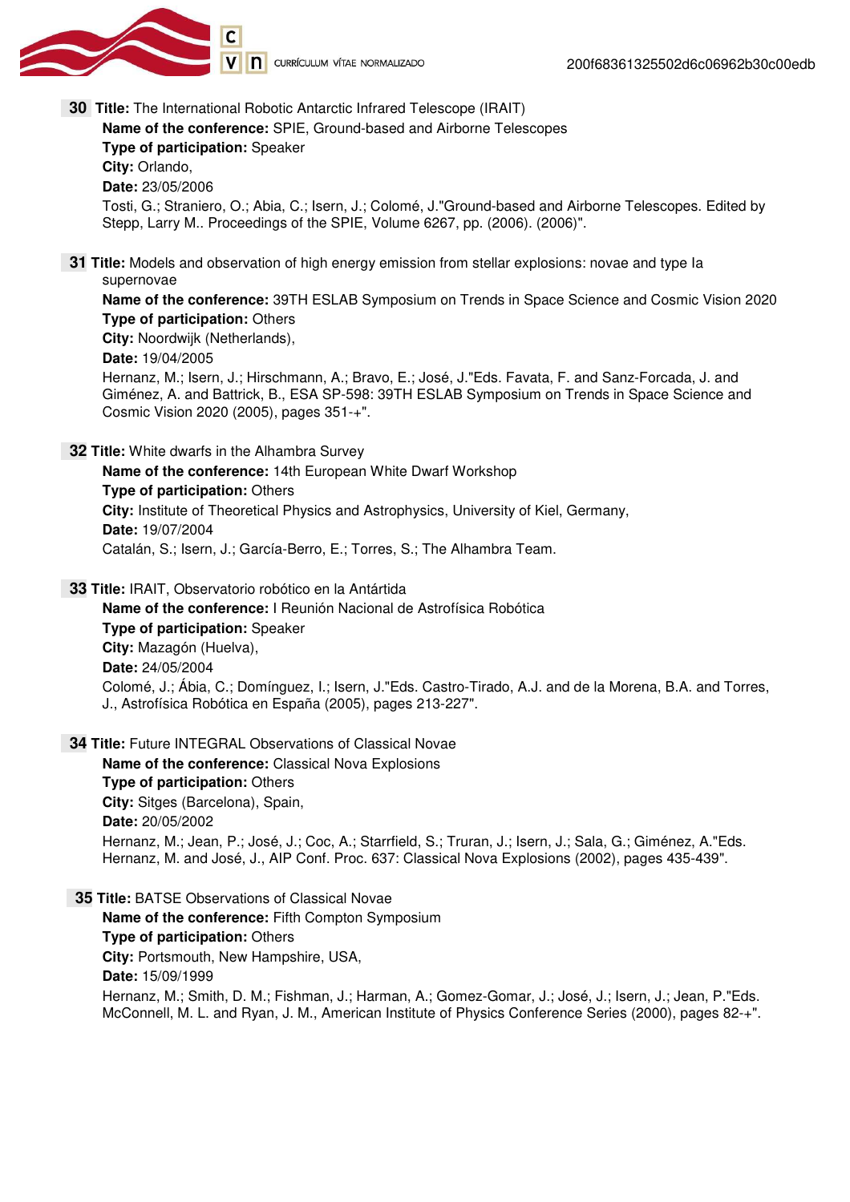

V n currículum vítae normalizado

 **30 Title:** The International Robotic Antarctic Infrared Telescope (IRAIT)

**Name of the conference:** SPIE, Ground-based and Airborne Telescopes **Type of participation:** Speaker **City:** Orlando, **Date:** 23/05/2006 Tosti, G.; Straniero, O.; Abia, C.; Isern, J.; Colomé, J."Ground-based and Airborne Telescopes. Edited by Stepp, Larry M.. Proceedings of the SPIE, Volume 6267, pp. (2006). (2006)".  **31 Title:** Models and observation of high energy emission from stellar explosions: novae and type Ia supernovae **Name of the conference:** 39TH ESLAB Symposium on Trends in Space Science and Cosmic Vision 2020 **Type of participation:** Others **City:** Noordwijk (Netherlands), **Date:** 19/04/2005 Hernanz, M.; Isern, J.; Hirschmann, A.; Bravo, E.; José, J."Eds. Favata, F. and Sanz-Forcada, J. and

Giménez, A. and Battrick, B., ESA SP-598: 39TH ESLAB Symposium on Trends in Space Science and Cosmic Vision 2020 (2005), pages 351-+".

 **32 Title:** White dwarfs in the Alhambra Survey

**Name of the conference:** 14th European White Dwarf Workshop **Type of participation:** Others **City:** Institute of Theoretical Physics and Astrophysics, University of Kiel, Germany, **Date:** 19/07/2004 Catalán, S.; Isern, J.; García-Berro, E.; Torres, S.; The Alhambra Team.

 **33 Title:** IRAIT, Observatorio robótico en la Antártida

**Name of the conference:** I Reunión Nacional de Astrofísica Robótica **Type of participation:** Speaker **City:** Mazagón (Huelva), **Date:** 24/05/2004 Colomé, J.; Ábia, C.; Domínguez, I.; Isern, J."Eds. Castro-Tirado, A.J. and de la Morena, B.A. and Torres, J., Astrofísica Robótica en España (2005), pages 213-227".

 **34 Title:** Future INTEGRAL Observations of Classical Novae

**Name of the conference:** Classical Nova Explosions **Type of participation:** Others **City:** Sitges (Barcelona), Spain, **Date:** 20/05/2002 Hernanz, M.; Jean, P.; José, J.; Coc, A.; Starrfield, S.; Truran, J.; Isern, J.; Sala, G.; Giménez, A."Eds. Hernanz, M. and José, J., AIP Conf. Proc. 637: Classical Nova Explosions (2002), pages 435-439".

 **35 Title:** BATSE Observations of Classical Novae **Name of the conference:** Fifth Compton Symposium **Type of participation:** Others **City:** Portsmouth, New Hampshire, USA, **Date:** 15/09/1999 Hernanz, M.; Smith, D. M.; Fishman, J.; Harman, A.; Gomez-Gomar, J.; José, J.; Isern, J.; Jean, P."Eds. McConnell, M. L. and Ryan, J. M., American Institute of Physics Conference Series (2000), pages 82-+".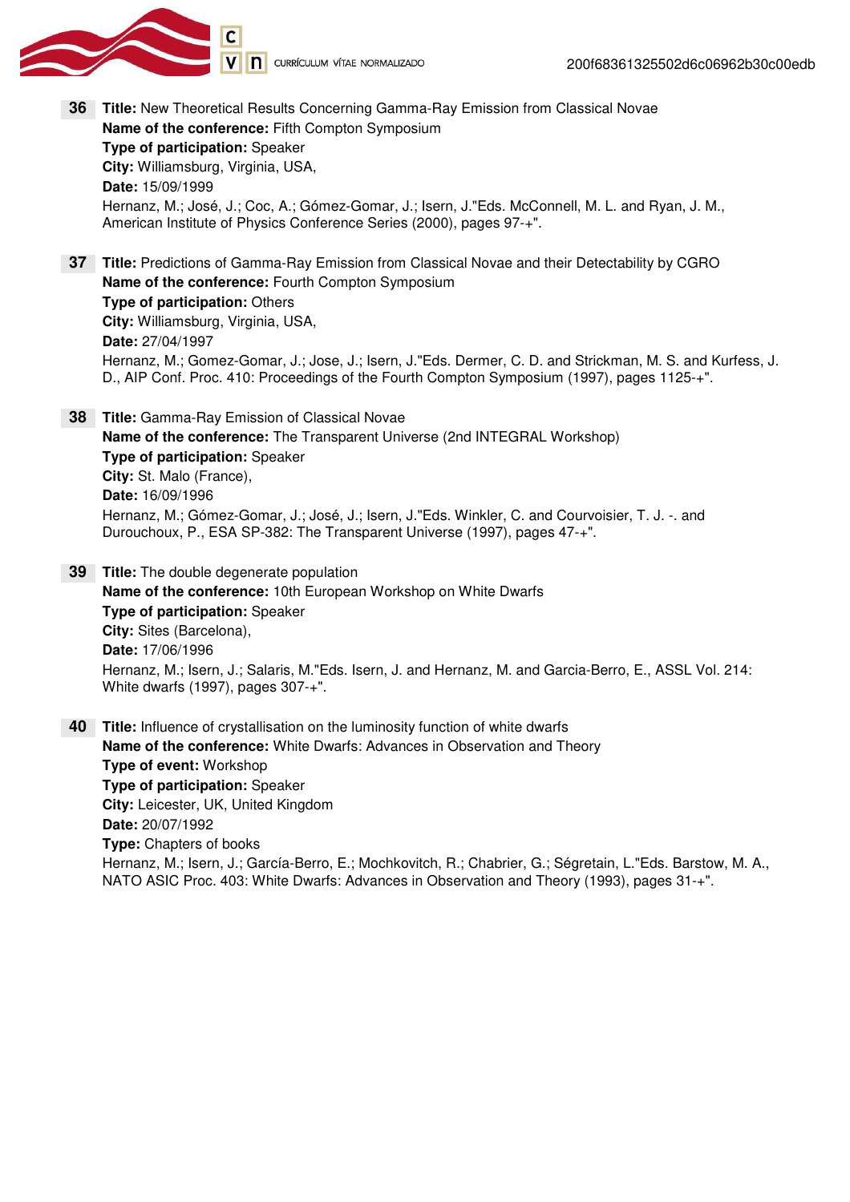

- **Title:** New Theoretical Results Concerning Gamma-Ray Emission from Classical Novae **36Name of the conference:** Fifth Compton Symposium **Type of participation:** Speaker **City:** Williamsburg, Virginia, USA, **Date:** 15/09/1999 Hernanz, M.; José, J.; Coc, A.; Gómez-Gomar, J.; Isern, J."Eds. McConnell, M. L. and Ryan, J. M., American Institute of Physics Conference Series (2000), pages 97-+".
- **Title:** Predictions of Gamma-Ray Emission from Classical Novae and their Detectability by CGRO **37 Name of the conference:** Fourth Compton Symposium **Type of participation:** Others **City:** Williamsburg, Virginia, USA, **Date:** 27/04/1997 Hernanz, M.; Gomez-Gomar, J.; Jose, J.; Isern, J."Eds. Dermer, C. D. and Strickman, M. S. and Kurfess, J. D., AIP Conf. Proc. 410: Proceedings of the Fourth Compton Symposium (1997), pages 1125-+".
- **Title:** Gamma-Ray Emission of Classical Novae **38 Name of the conference:** The Transparent Universe (2nd INTEGRAL Workshop) **Type of participation:** Speaker **City:** St. Malo (France), **Date:** 16/09/1996 Hernanz, M.; Gómez-Gomar, J.; José, J.; Isern, J."Eds. Winkler, C. and Courvoisier, T. J. -. and Durouchoux, P., ESA SP-382: The Transparent Universe (1997), pages 47-+".
- **Title:** The double degenerate population **39 Name of the conference:** 10th European Workshop on White Dwarfs **Type of participation:** Speaker **City:** Sites (Barcelona), **Date:** 17/06/1996 Hernanz, M.; Isern, J.; Salaris, M."Eds. Isern, J. and Hernanz, M. and Garcia-Berro, E., ASSL Vol. 214: White dwarfs (1997), pages 307-+".
- **Title:** Influence of crystallisation on the luminosity function of white dwarfs **40 Name of the conference:** White Dwarfs: Advances in Observation and Theory **Type of event:** Workshop **Type of participation:** Speaker **City:** Leicester, UK, United Kingdom **Date:** 20/07/1992 **Type:** Chapters of books Hernanz, M.; Isern, J.; García-Berro, E.; Mochkovitch, R.; Chabrier, G.; Ségretain, L."Eds. Barstow, M. A., NATO ASIC Proc. 403: White Dwarfs: Advances in Observation and Theory (1993), pages 31-+".